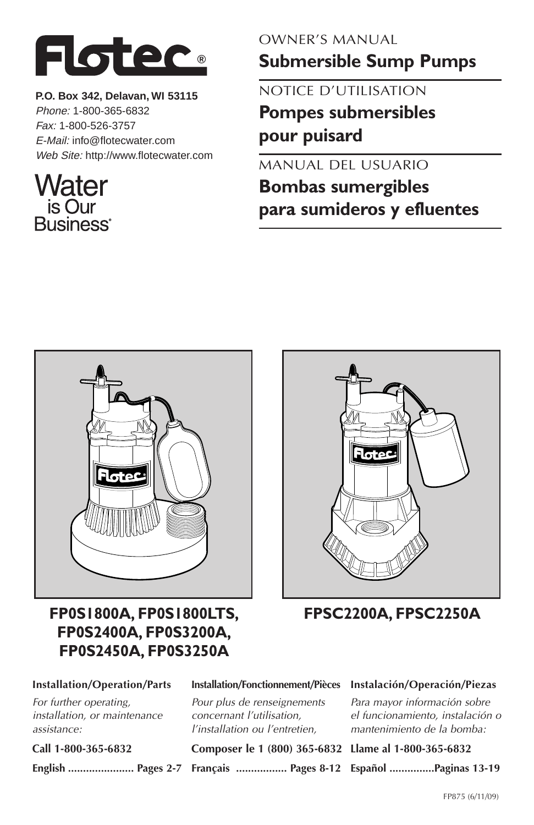

**P.O. Box 342, Delavan, WI 53115** Phone: 1-800-365-6832 Fax: 1-800-526-3757 E-Mail: info@flotecwater.com Web Site: http://www.flotecwater.com

# Water is Our **Business**

### OWNER'S MANUAL

**Submersible Sump Pumps**

NOTICE D'UTILISATION **Pompes submersibles pour puisard**

MANUAL DEL USUARIO

**Bombas sumergibles para sumideros y efluentes**



## **FP0S1800A, FP0S1800LTS, FP0S2400A, FP0S3200A, FP0S2450A, FP0S3250A**



**FPSC2200A, FPSC2250A**

#### **Installation/Operation/Parts**

For further operating, installation, or maintenance assistance:

**Call 1-800-365-6832**

**English ...................... Pages 2-7**

### **Installation/Fonctionnement/Pièces**

Pour plus de renseignements concernant l'utilisation, l'installation ou l'entretien,

**Composer le 1 (800) 365-6832 Llame al 1-800-365-6832**

**Français ................. Pages 8-12 Español ...............Paginas 13-19**

### **Instalación/Operación/Piezas**

Para mayor información sobre el funcionamiento, instalación o mantenimiento de la bomba: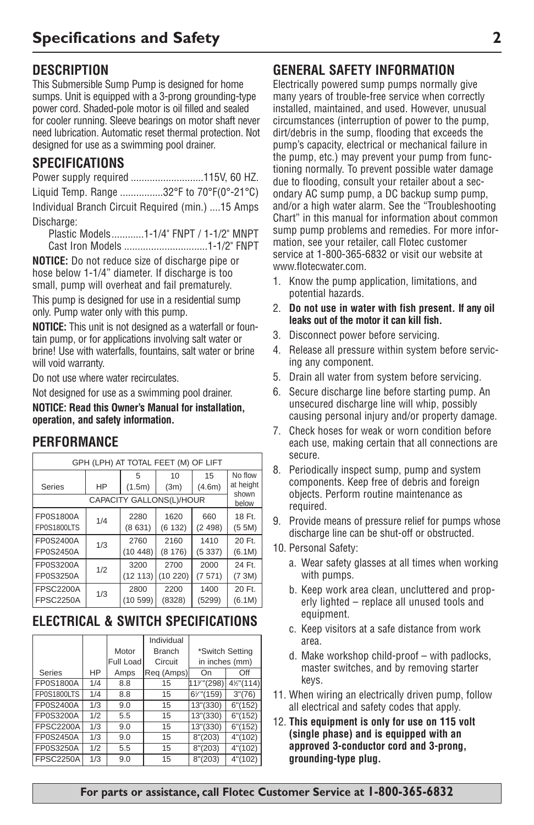## **DESCRIPTION**

This Submersible Sump Pump is designed for home sumps. Unit is equipped with a 3-prong grounding-type power cord. Shaded-pole motor is oil filled and sealed for cooler running. Sleeve bearings on motor shaft never need lubrication. Automatic reset thermal protection. Not designed for use as a swimming pool drainer.

## **SPECIFICATIONS**

|--|--|--|--|

Liquid Temp. Range ................32°F to 70°F(0°-21°C) Individual Branch Circuit Required (min.) ....15 Amps Discharge:

Plastic Models............1-1/4" FNPT / 1-1/2" MNPT Cast Iron Models ...............................1-1/2" FNPT

**NOTICE:** Do not reduce size of discharge pipe or hose below 1-1/4" diameter. If discharge is too small, pump will overheat and fail prematurely.

This pump is designed for use in a residential sump only. Pump water only with this pump.

**NOTICE:** This unit is not designed as a waterfall or fountain pump, or for applications involving salt water or brine! Use with waterfalls, fountains, salt water or brine will void warranty.

Do not use where water recirculates.

Not designed for use as a swimming pool drainer. **NOTICE: Read this Owner's Manual for installation, operation, and safety information.**

| GPH (LPH) AT TOTAL FEET (M) OF LIFT |     |             |                          |              |                               |  |  |
|-------------------------------------|-----|-------------|--------------------------|--------------|-------------------------------|--|--|
| HP<br>Series                        |     | 5<br>(1.5m) | 10<br>(3m)               | 15<br>(4.6m) | No flow<br>at height<br>shown |  |  |
|                                     |     |             | CAPACITY GALLONS(L)/HOUR |              | below                         |  |  |
| FP0S1800A                           | 1/4 | 2280        | 1620                     | 660          | 18 Ft.                        |  |  |
| FP0S1800LTS                         |     | (8631)      | (6132)                   | (2498)       | (5.5M)                        |  |  |
| FP0S2400A                           | 1/3 | 2760        | 2160                     | 1410         | 20 Ft.                        |  |  |
| <b>FP0S2450A</b>                    |     | (10448)     | (8176)                   | (5337)       | (6.1M)                        |  |  |
| FP0S3200A                           | 1/2 | 3200        | 2700                     | 2000         | 24 Ft.                        |  |  |
| FP0S3250A                           |     | (12 113)    | (10 220)                 | (7571)       | (73M)                         |  |  |
| <b>FPSC2200A</b>                    | 1/3 | 2800        | 2200                     | 1400         | 20 Ft.                        |  |  |
| <b>FPSC2250A</b>                    |     | (10599)     | (8328)                   | (5299)       | (6.1M)                        |  |  |

## **ELECTRICAL & SWITCH SPECIFICATIONS**

|                  |     |           | Individual    |                 |          |
|------------------|-----|-----------|---------------|-----------------|----------|
|                  |     | Motor     | <b>Branch</b> | *Switch Setting |          |
|                  |     | Full Load | Circuit       | in inches (mm)  |          |
| Series           | HP  | Amps      | Reg (Amps)    | On              | Off      |
| FP0S1800A        | 1/4 | 8.8       | 15            | 113" (298)      | 4½"(114) |
| FP0S1800LTS      | 1/4 | 8.8       | 15            | 67"(159)        | 3''(76)  |
| FP0S2400A        | 1/3 | 9.0       | 15            | 13"(330)        | 6''(152) |
| FP0S3200A        | 1/2 | 5.5       | 15            | 13"(330)        | 6''(152) |
| <b>FPSC2200A</b> | 1/3 | 9.0       | 15            | 13"(330)        | 6''(152) |
| FP0S2450A        | 1/3 | 9.0       | 15            | 8''(203)        | 4''(102) |
| FP0S3250A        | 1/2 | 5.5       | 15            | 8''(203)        | 4''(102) |
| <b>FPSC2250A</b> | 1/3 | 9.0       | 15            | 8''(203)        | 4"(102)  |

## **GENERAL SAFETY INFORMATION**

Electrically powered sump pumps normally give many years of trouble-free service when correctly installed, maintained, and used. However, unusual circumstances (interruption of power to the pump, dirt/debris in the sump, flooding that exceeds the pump's capacity, electrical or mechanical failure in the pump, etc.) may prevent your pump from functioning normally. To prevent possible water damage due to flooding, consult your retailer about a secondary AC sump pump, a DC backup sump pump, and/or a high water alarm. See the "Troubleshooting Chart" in this manual for information about common sump pump problems and remedies. For more information, see your retailer, call Flotec customer service at 1-800-365-6832 or visit our website at www.flotecwater.com.

- 1. Know the pump application, limitations, and potential hazards.
- 2. **Do not use in water with fish present. If any oil leaks out of the motor it can kill fish.**
- 3. Disconnect power before servicing.
- 4. Release all pressure within system before servicing any component.
- 5. Drain all water from system before servicing.
- 6. Secure discharge line before starting pump. An unsecured discharge line will whip, possibly causing personal injury and/or property damage.
- 7. Check hoses for weak or worn condition before each use, making certain that all connections are secure.
- 8. Periodically inspect sump, pump and system components. Keep free of debris and foreign objects. Perform routine maintenance as required.
- 9. Provide means of pressure relief for pumps whose discharge line can be shut-off or obstructed.
- 10. Personal Safety:
	- a. Wear safety glasses at all times when working with pumps.
	- b. Keep work area clean, uncluttered and properly lighted – replace all unused tools and equipment.
	- c. Keep visitors at a safe distance from work area.
	- d. Make workshop child-proof with padlocks, master switches, and by removing starter keys.
- 11. When wiring an electrically driven pump, follow all electrical and safety codes that apply.
- 12. **This equipment is only for use on 115 volt (single phase) and is equipped with an approved 3-conductor cord and 3-prong, grounding-type plug.**

**For parts or assistance, call Flotec Customer Service at 1-800-365-6832**

### **PERFORMANCE**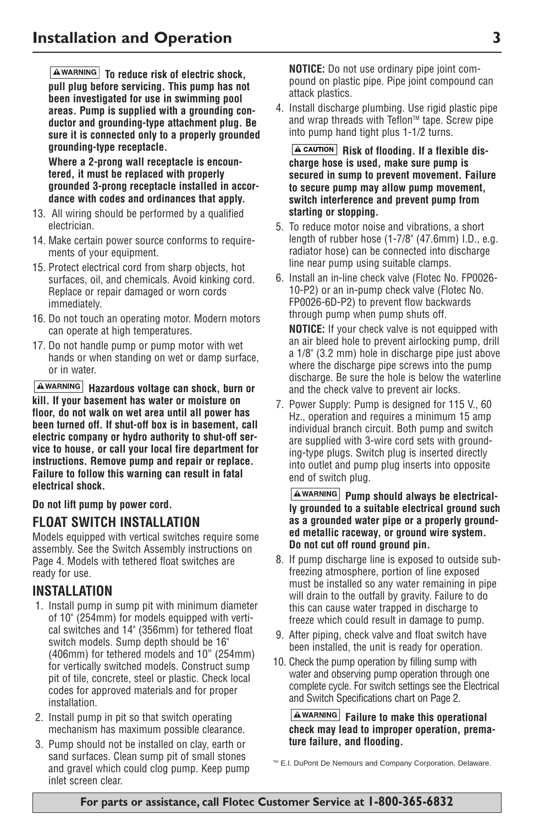**To reduce risk of electric shock, pull plug before servicing. This pump has not been investigated for use in swimming pool areas. Pump is supplied with a grounding conductor and grounding-type attachment plug. Be sure it is connected only to a properly grounded grounding-type receptacle.**

**Where a 2-prong wall receptacle is encountered, it must be replaced with properly grounded 3-prong receptacle installed in accordance with codes and ordinances that apply.**

- 13. All wiring should be performed by a qualified electrician.
- 14. Make certain power source conforms to requirements of your equipment.
- 15. Protect electrical cord from sharp objects, hot surfaces, oil, and chemicals. Avoid kinking cord. Replace or repair damaged or worn cords immediately.
- 16. Do not touch an operating motor. Modern motors can operate at high temperatures.
- 17. Do not handle pump or pump motor with wet hands or when standing on wet or damp surface, or in water.

**Hazardous voltage can shock, burn or kill. If your basement has water or moisture on floor, do not walk on wet area until all power has been turned off. If shut-off box is in basement, call electric company or hydro authority to shut-off service to house, or call your local fire department for instructions. Remove pump and repair or replace. Failure to follow this warning can result in fatal electrical shock.**

**Do not lift pump by power cord.**

### **FLOAT SWITCH INSTALLATION**

Models equipped with vertical switches require some assembly. See the Switch Assembly instructions on Page 4. Models with tethered float switches are ready for use.

### **INSTALLATION**

- 1. Install pump in sump pit with minimum diameter of 10" (254mm) for models equipped with vertical switches and 14" (356mm) for tethered float switch models. Sump depth should be 16" (406mm) for tethered models and 10" (254mm) for vertically switched models. Construct sump pit of tile, concrete, steel or plastic. Check local codes for approved materials and for proper installation.
- 2. Install pump in pit so that switch operating mechanism has maximum possible clearance.
- 3. Pump should not be installed on clay, earth or sand surfaces. Clean sump pit of small stones and gravel which could clog pump. Keep pump inlet screen clear.

**NOTICE:** Do not use ordinary pipe joint compound on plastic pipe. Pipe joint compound can attack plastics.

4. Install discharge plumbing. Use rigid plastic pipe and wrap threads with Teflon™ tape. Screw pipe into pump hand tight plus 1-1/2 turns.

**A CAUTION** Risk of flooding. If a flexible dis**charge hose is used, make sure pump is secured in sump to prevent movement. Failure to secure pump may allow pump movement, switch interference and prevent pump from starting or stopping.**

- 5. To reduce motor noise and vibrations, a short length of rubber hose (1-7/8" (47.6mm) I.D., e.g. radiator hose) can be connected into discharge line near pump using suitable clamps.
- 6. Install an in-line check valve (Flotec No. FP0026- 10-P2) or an in-pump check valve (Flotec No. FP0026-6D-P2) to prevent flow backwards through pump when pump shuts off. **NOTICE:** If your check valve is not equipped with an air bleed hole to prevent airlocking pump, drill a 1/8" (3.2 mm) hole in discharge pipe just above where the discharge pipe screws into the pump discharge. Be sure the hole is below the waterline and the check valve to prevent air locks.
- 7. Power Supply: Pump is designed for 115 V., 60 Hz., operation and requires a minimum 15 amp individual branch circuit. Both pump and switch are supplied with 3-wire cord sets with grounding-type plugs. Switch plug is inserted directly into outlet and pump plug inserts into opposite end of switch plug.

#### **AWARNING** Pump should always be electrical**ly grounded to a suitable electrical ground such as a grounded water pipe or a properly grounded metallic raceway, or ground wire system. Do not cut off round ground pin.**

- 8. If pump discharge line is exposed to outside subfreezing atmosphere, portion of line exposed must be installed so any water remaining in pipe will drain to the outfall by gravity. Failure to do this can cause water trapped in discharge to freeze which could result in damage to pump.
- 9. After piping, check valve and float switch have been installed, the unit is ready for operation.
- 10. Check the pump operation by filling sump with water and observing pump operation through one complete cycle. For switch settings see the Electrical and Switch Specifications chart on Page 2.

**Failure to make this operational check may lead to improper operation, premature failure, and flooding.**

™ E.I. DuPont De Nemours and Company Corporation, Delaware.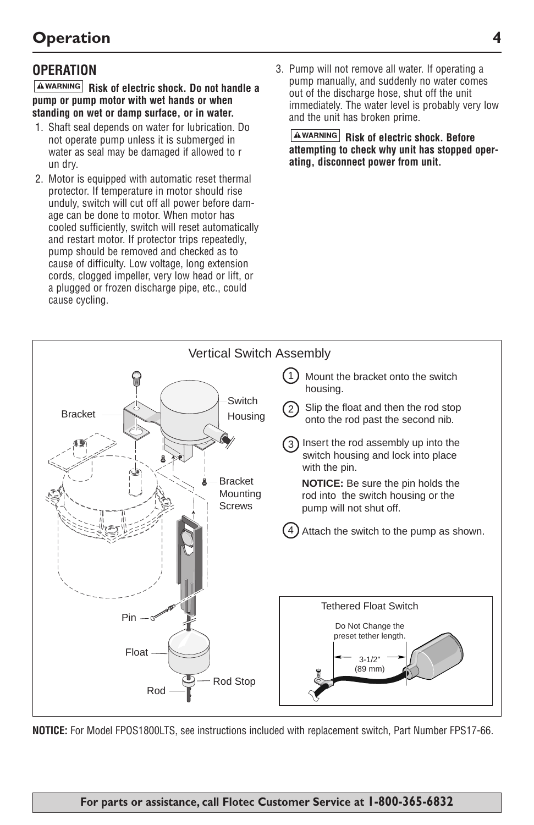## **OPERATION**

**Risk of electric shock. Do not handle a pump or pump motor with wet hands or when standing on wet or damp surface, or in water.**

- 1. Shaft seal depends on water for lubrication. Do not operate pump unless it is submerged in water as seal may be damaged if allowed to r un dry.
- 2. Motor is equipped with automatic reset thermal protector. If temperature in motor should rise unduly, switch will cut off all power before damage can be done to motor. When motor has cooled sufficiently, switch will reset automatically and restart motor. If protector trips repeatedly, pump should be removed and checked as to cause of difficulty. Low voltage, long extension cords, clogged impeller, very low head or lift, or a plugged or frozen discharge pipe, etc., could cause cycling.
- 3. Pump will not remove all water. If operating a pump manually, and suddenly no water comes out of the discharge hose, shut off the unit immediately. The water level is probably very low and the unit has broken prime.

**AWARNING** Risk of electric shock. Before **attempting to check why unit has stopped operating, disconnect power from unit.** 



**NOTICE:** For Model FPOS1800LTS, see instructions included with replacement switch, Part Number FPS17-66.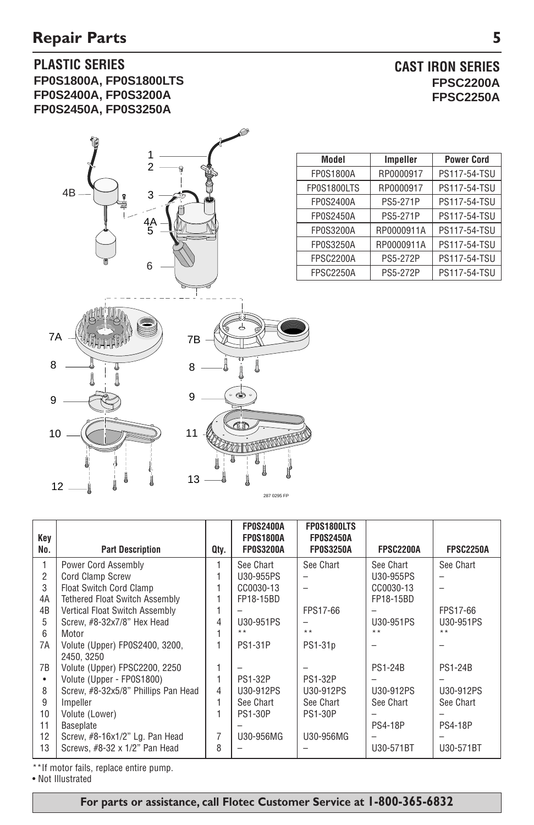### **PLASTIC SERIES FP0S1800A, FP0S1800LTS FP0S2400A, FP0S3200A FP0S2450A, FP0S3250A**



**CAST IRON SERIES FPSC2200A FPSC2250A**

| Model            | Impeller        | <b>Power Cord</b> |  |
|------------------|-----------------|-------------------|--|
| <b>FP0S1800A</b> | RP0000917       | PS117-54-TSU      |  |
| FP0S1800LTS      | RP0000917       | PS117-54-TSU      |  |
| FP0S2400A        | <b>PS5-271P</b> | PS117-54-TSU      |  |
| <b>FP0S2450A</b> | PS5-271P        | PS117-54-TSU      |  |
| FP0S3200A        | RP0000911A      | PS117-54-TSU      |  |
| <b>FP0S3250A</b> | RP0000911A      | PS117-54-TSU      |  |
| <b>FPSC2200A</b> | <b>PS5-272P</b> | PS117-54-TSU      |  |
| <b>FPSC2250A</b> | <b>PS5-272P</b> | PS117-54-TSU      |  |

| Kev<br>No.    | <b>Part Description</b>                      | Qtv. | <b>FP0S2400A</b><br>FP0S1800A<br>FP0S3200A | FP0S1800LTS<br><b>FP0S2450A</b><br><b>FP0S3250A</b> | <b>FPSC2200A</b> | FPSC2250A      |
|---------------|----------------------------------------------|------|--------------------------------------------|-----------------------------------------------------|------------------|----------------|
| 1             | Power Cord Assembly                          |      | See Chart                                  | See Chart                                           | See Chart        | See Chart      |
| 2             | <b>Cord Clamp Screw</b>                      |      | U30-955PS                                  |                                                     | U30-955PS        |                |
| $\mathcal{S}$ | <b>Float Switch Cord Clamp</b>               |      | CC0030-13                                  |                                                     | CC0030-13        |                |
| 4A            | <b>Tethered Float Switch Assembly</b>        |      | FP18-15BD                                  |                                                     | FP18-15BD        |                |
| 4B            | Vertical Float Switch Assembly               |      |                                            | FPS17-66                                            |                  | FPS17-66       |
| 5             | Screw. #8-32x7/8" Hex Head                   | 4    | U30-951PS                                  |                                                     | U30-951PS        | U30-951PS      |
| 6             | Motor                                        |      | $* *$                                      | $+ +$                                               | $* *$            | $* *$          |
| 7A            | Volute (Upper) FP0S2400, 3200,<br>2450, 3250 |      | <b>PS1-31P</b>                             | PS1-31 <sub>p</sub>                                 |                  |                |
| 7B            | Volute (Upper) FPSC2200, 2250                |      |                                            |                                                     | <b>PS1-24B</b>   | <b>PS1-24B</b> |
| ٠             | Volute (Upper - FP0S1800)                    |      | <b>PS1-32P</b>                             | <b>PS1-32P</b>                                      |                  |                |
| 8             | Screw, #8-32x5/8" Phillips Pan Head          | 4    | U30-912PS                                  | U30-912PS                                           | U30-912PS        | U30-912PS      |
| 9             | Impeller                                     |      | See Chart                                  | See Chart                                           | See Chart        | See Chart      |
| 10            | Volute (Lower)                               |      | <b>PS1-30P</b>                             | <b>PS1-30P</b>                                      |                  |                |
| 11            | Baseplate                                    |      |                                            |                                                     | <b>PS4-18P</b>   | <b>PS4-18P</b> |
| 12            | Screw, #8-16x1/2" Lg. Pan Head               | 7    | U30-956MG                                  | U30-956MG                                           |                  |                |
| 13            | Screws, #8-32 x 1/2" Pan Head                | 8    |                                            |                                                     | U30-571BT        | U30-571BT      |

287 0295 FP

\*\*If motor fails, replace entire pump.

• Not Illustrated

**For parts or assistance, call Flotec Customer Service at 1-800-365-6832**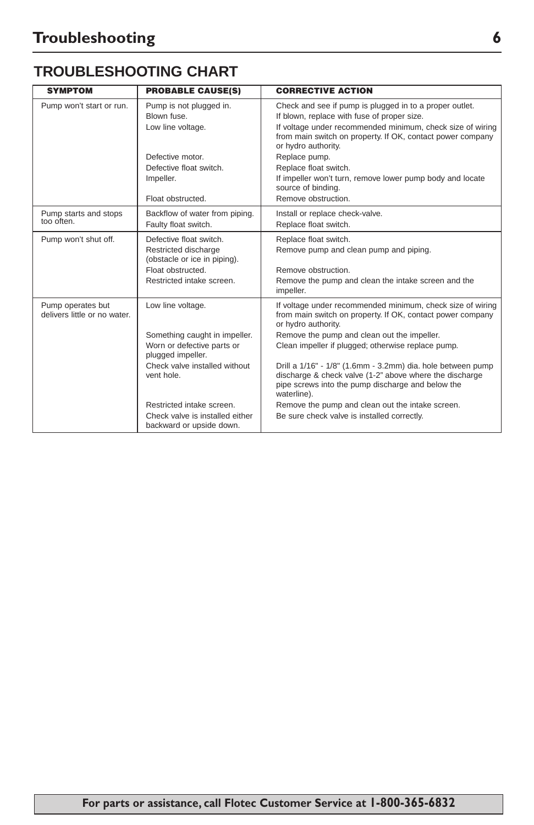## **TROUBLESHOOTING CHART**

| <b>SYMPTOM</b>                                    | <b>PROBABLE CAUSE(S)</b>                                                                                                                             | <b>CORRECTIVE ACTION</b>                                                                                                                                                                                                                                                                                                                                                                                                            |
|---------------------------------------------------|------------------------------------------------------------------------------------------------------------------------------------------------------|-------------------------------------------------------------------------------------------------------------------------------------------------------------------------------------------------------------------------------------------------------------------------------------------------------------------------------------------------------------------------------------------------------------------------------------|
| Pump won't start or run.                          | Pump is not plugged in.<br>Blown fuse<br>Low line voltage.                                                                                           | Check and see if pump is plugged in to a proper outlet.<br>If blown, replace with fuse of proper size.<br>If voltage under recommended minimum, check size of wiring<br>from main switch on property. If OK, contact power company<br>or hydro authority.                                                                                                                                                                           |
|                                                   | Defective motor.<br>Defective float switch.                                                                                                          | Replace pump.<br>Replace float switch.                                                                                                                                                                                                                                                                                                                                                                                              |
|                                                   | Impeller.                                                                                                                                            | If impeller won't turn, remove lower pump body and locate<br>source of binding.                                                                                                                                                                                                                                                                                                                                                     |
|                                                   | Float obstructed.                                                                                                                                    | Remove obstruction.                                                                                                                                                                                                                                                                                                                                                                                                                 |
| Pump starts and stops<br>too often.               | Backflow of water from piping.<br>Faulty float switch.                                                                                               | Install or replace check-valve.<br>Replace float switch.                                                                                                                                                                                                                                                                                                                                                                            |
| Pump won't shut off.                              | Defective float switch.<br>Restricted discharge<br>(obstacle or ice in piping).<br>Float obstructed.<br>Restricted intake screen.                    | Replace float switch.<br>Remove pump and clean pump and piping.<br>Remove obstruction.<br>Remove the pump and clean the intake screen and the<br>impeller.                                                                                                                                                                                                                                                                          |
| Pump operates but<br>delivers little or no water. | Low line voltage.<br>Something caught in impeller.<br>Worn or defective parts or<br>plugged impeller.<br>Check valve installed without<br>vent hole. | If voltage under recommended minimum, check size of wiring<br>from main switch on property. If OK, contact power company<br>or hydro authority.<br>Remove the pump and clean out the impeller.<br>Clean impeller if plugged; otherwise replace pump.<br>Drill a 1/16" - 1/8" (1.6mm - 3.2mm) dia. hole between pump<br>discharge & check valve (1-2" above where the discharge<br>pipe screws into the pump discharge and below the |
|                                                   | Restricted intake screen.<br>Check valve is installed either<br>backward or upside down.                                                             | waterline).<br>Remove the pump and clean out the intake screen.<br>Be sure check valve is installed correctly.                                                                                                                                                                                                                                                                                                                      |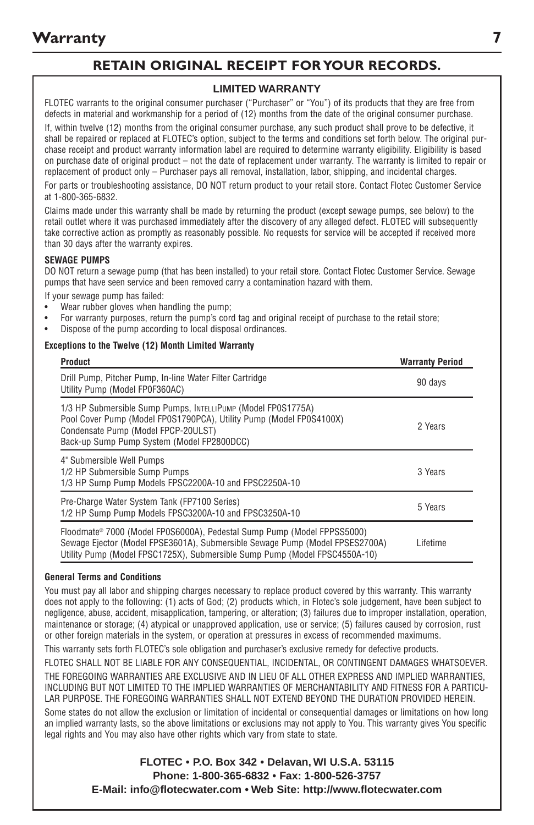### **RETAIN ORIGINAL RECEIPT FOR YOUR RECORDS.**

#### **LIMITED WARRANTY**

FLOTEC warrants to the original consumer purchaser ("Purchaser" or "You") of its products that they are free from defects in material and workmanship for a period of (12) months from the date of the original consumer purchase.

If, within twelve (12) months from the original consumer purchase, any such product shall prove to be defective, it shall be repaired or replaced at FLOTEC's option, subject to the terms and conditions set forth below. The original purchase receipt and product warranty information label are required to determine warranty eligibility. Eligibility is based on purchase date of original product – not the date of replacement under warranty. The warranty is limited to repair or replacement of product only – Purchaser pays all removal, installation, labor, shipping, and incidental charges. For parts or troubleshooting assistance, DO NOT return product to your retail store. Contact Flotec Customer Service at 1-800-365-6832.

Claims made under this warranty shall be made by returning the product (except sewage pumps, see below) to the retail outlet where it was purchased immediately after the discovery of any alleged defect. FLOTEC will subsequently take corrective action as promptly as reasonably possible. No requests for service will be accepted if received more than 30 days after the warranty expires.

#### **SEWAGE PUMPS**

DO NOT return a sewage pump (that has been installed) to your retail store. Contact Flotec Customer Service. Sewage pumps that have seen service and been removed carry a contamination hazard with them.

If your sewage pump has failed:

- Wear rubber gloves when handling the pump;
- For warranty purposes, return the pump's cord tag and original receipt of purchase to the retail store;
- Dispose of the pump according to local disposal ordinances.

#### **Exceptions to the Twelve (12) Month Limited Warranty**

| <b>Product</b>                                                                                                                                                                                                                        | <b>Warranty Period</b> |
|---------------------------------------------------------------------------------------------------------------------------------------------------------------------------------------------------------------------------------------|------------------------|
| Drill Pump, Pitcher Pump, In-line Water Filter Cartridge<br>Utility Pump (Model FP0F360AC)                                                                                                                                            | 90 days                |
| 1/3 HP Submersible Sump Pumps, INTELLIPUMP (Model FP0S1775A)<br>Pool Cover Pump (Model FP0S1790PCA), Utility Pump (Model FP0S4100X)<br>Condensate Pump (Model FPCP-20ULST)<br>Back-up Sump Pump System (Model FP2800DCC)              | 2 Years                |
| 4" Submersible Well Pumps<br>1/2 HP Submersible Sump Pumps<br>1/3 HP Sump Pump Models FPSC2200A-10 and FPSC2250A-10                                                                                                                   | 3 Years                |
| Pre-Charge Water System Tank (FP7100 Series)<br>1/2 HP Sump Pump Models FPSC3200A-10 and FPSC3250A-10                                                                                                                                 | 5 Years                |
| Floodmate® 7000 (Model FP0S6000A), Pedestal Sump Pump (Model FPPSS5000)<br>Sewage Ejector (Model FPSE3601A), Submersible Sewage Pump (Model FPSES2700A)<br>Utility Pump (Model FPSC1725X), Submersible Sump Pump (Model FPSC4550A-10) | Lifetime               |

#### **General Terms and Conditions**

You must pay all labor and shipping charges necessary to replace product covered by this warranty. This warranty does not apply to the following: (1) acts of God; (2) products which, in Flotec's sole judgement, have been subject to negligence, abuse, accident, misapplication, tampering, or alteration; (3) failures due to improper installation, operation, maintenance or storage; (4) atypical or unapproved application, use or service; (5) failures caused by corrosion, rust or other foreign materials in the system, or operation at pressures in excess of recommended maximums.

This warranty sets forth FLOTEC's sole obligation and purchaser's exclusive remedy for defective products.

FLOTEC SHALL NOT BE LIABLE FOR ANY CONSEQUENTIAL, INCIDENTAL, OR CONTINGENT DAMAGES WHATSOEVER. THE FOREGOING WARRANTIES ARE EXCLUSIVE AND IN LIEU OF ALL OTHER EXPRESS AND IMPLIED WARRANTIES, INCLUDING BUT NOT LIMITED TO THE IMPLIED WARRANTIES OF MERCHANTABILITY AND FITNESS FOR A PARTICU-LAR PURPOSE. THE FOREGOING WARRANTIES SHALL NOT EXTEND BEYOND THE DURATION PROVIDED HEREIN.

Some states do not allow the exclusion or limitation of incidental or consequential damages or limitations on how long an implied warranty lasts, so the above limitations or exclusions may not apply to You. This warranty gives You specific legal rights and You may also have other rights which vary from state to state.

> **FLOTEC • P.O. Box 342 • Delavan, WI U.S.A. 53115 Phone: 1-800-365-6832 • Fax: 1-800-526-3757 E-Mail: info@flotecwater.com • Web Site: http://www.flotecwater.com**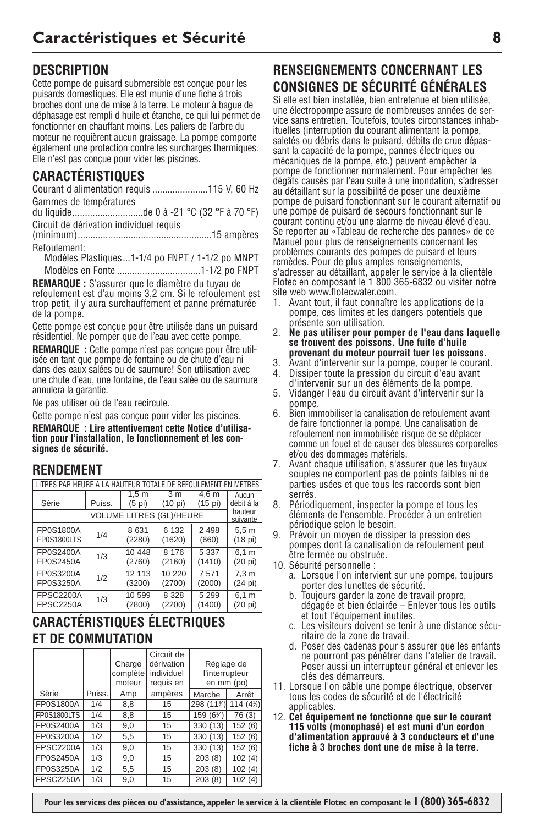## **DESCRIPTION**

Cette pompe de puisard submersible est conçue pour les puisards domestiques. Elle est munie d'une fiche à trois broches dont une de mise à la terre. Le moteur à bague de déphasage est rempli d huile et étanche, ce qui lui permet de fonctionner en chauffant moins. Les paliers de l'arbre du moteur ne requièrent aucun graissage. La pompe comporte également une protection contre les surcharges thermiques. Elle n'est pas conçue pour vider les piscines.

## **CARACTÉRISTIQUES**

Courant d'alimentation requis ......................115 V, 60 Hz Gammes de températures

du liquide............................de 0 à -21 °C (32 °F à 70 °F) Circuit de dérivation individuel requis

(minimum).....................................................15 ampères Refoulement:

Modèles Plastiques...1-1/4 po FNPT / 1-1/2 po MNPT Modèles en Fonte .................................1-1/2 po FNPT

**REMARQUE :** S'assurer que le diamètre du tuyau de refoulement est d'au moins 3,2 cm. Si le refoulement est trop petit, il y aura surchauffement et panne prématurée de la pompe.

Cette pompe est conçue pour être utilisée dans un puisard résidentiel. Ne pomper que de l'eau avec cette pompe.

**REMARQUE :** Cette pompe n'est pas conçue pour être utilisée en tant que pompe de fontaine ou de chute d'eau ni dans des eaux salées ou de saumure! Son utilisation avec une chute d'eau, une fontaine, de l'eau salée ou de saumure annulera la garantie.

Ne pas utiliser où de l'eau recircule.

Cette pompe n'est pas conçue pour vider les piscines.

**REMARQUE : Lire attentivement cette Notice d'utilisation pour l'installation, le fonctionnement et les consignes de sécurité.**

### **RENDEMENT**

| I LITRES PAR HEURE A LA HAUTEUR TOTALE DE REFOULEMENT EN METRES |                                               |                  |                                 |         |                     |  |
|-----------------------------------------------------------------|-----------------------------------------------|------------------|---------------------------------|---------|---------------------|--|
|                                                                 | 1.5 <sub>m</sub><br>$\overline{3}$ m<br>4.6 m |                  |                                 |         |                     |  |
| Sèrie                                                           | Puiss.                                        | $(5 \text{ pi})$ | (10 pi)                         | (15 pi) | débit à la          |  |
|                                                                 |                                               |                  | <b>VOLUME LITRES (GL)/HEURE</b> |         | hauteur<br>suivante |  |
| 6 1 3 2<br>FP0S1800A<br>8631<br>2 4 9 8<br>1/4                  |                                               |                  |                                 |         | 5.5 <sub>m</sub>    |  |
| FP0S1800LTS                                                     |                                               | (2280)           | (1620)                          | (660)   | (18 pi)             |  |
| FP0S2400A                                                       | 1/3                                           | 10 448           | 8 1 7 6                         | 5 3 3 7 | 6.1 m               |  |
| FP0S2450A                                                       |                                               | (2760)           | (2160)                          | (1410)  | (20 p)              |  |
| FP0S3200A                                                       | 1/2                                           | 12 113           | 10 220                          | 7 571   | 7.3 <sub>m</sub>    |  |
| FP0S3250A                                                       |                                               | (3200)           | (2700)                          | (2000)  | (24 pi)             |  |
| <b>FPSC2200A</b>                                                | 1/3                                           | 10 599           | 8 3 2 8                         | 5 2 9 9 | 6.1 m               |  |
| <b>FPSC2250A</b>                                                |                                               | (2800)           | (2200)                          | (1400)  | (20 pi)             |  |

## **CARACTÉRISTIQUES ÉLECTRIQUES ET DE COMMUTATION**

|                  |        | Charge<br>complète<br>moteur | Circuit de<br>dérivation<br>individuel<br>requis en | Réglage de<br>l'interrupteur | en mm (po) |
|------------------|--------|------------------------------|-----------------------------------------------------|------------------------------|------------|
| Sèrie            | Puiss. | Amp                          | ampères                                             | Marche                       | Arrêt      |
| FP0S1800A        | 1/4    | 8,8                          | 15                                                  | 298 (11%)                    | 114 (4½)   |
| FP0S1800LTS      | 1/4    | 8,8                          | 15                                                  | 159 (6%)                     | 76 (3)     |
| FP0S2400A        | 1/3    | 9.0                          | 15                                                  | 330 (13)                     | 152(6)     |
| FP0S3200A        | 1/2    | 5.5                          | 15                                                  | 330 (13)                     | 152(6)     |
| <b>FPSC2200A</b> | 1/3    | 9,0                          | 15                                                  | 330 (13)                     | 152(6)     |
| FP0S2450A        | 1/3    | 9,0                          | 15                                                  | 203(8)                       | 102(4)     |
| FP0S3250A        | 1/2    | 5,5                          | 15                                                  | 203(8)                       | 102(4)     |
| <b>FPSC2250A</b> | 1/3    | 9,0                          | 15                                                  | 203(8)                       | 102(4)     |

## **RENSEIGNEMENTS CONCERNANT LES CONSIGNES DE SÉCURITÉ GÉNÉRALES**

Si elle est bien installée, bien entretenue et bien utilisée, une électropompe assure de nombreuses années de service sans entretien. Toutefois, toutes circonstances inhabituelles (interruption du courant alimentant la pompe, saletés ou débris dans le puisard, débits de crue dépassant la capacité de la pompe, pannes électriques ou mécaniques de la pompe, etc.) peuvent empêcher la pompe de fonctionner normalement. Pour empêcher les dégâts causés par l'eau suite à une inondation, s'adresser au détaillant sur la possibilité de poser une deuxième pompe de puisard fonctionnant sur le courant alternatif ou une pompe de puisard de secours fonctionnant sur le courant continu et/ou une alarme de niveau élevé d'eau. Se reporter au «Tableau de recherche des pannes» de ce Manuel pour plus de renseignements concernant les problèmes courants des pompes de puisard et leurs remèdes. Pour de plus amples renseignements, s'adresser au détaillant, appeler le service à la clientèle Flotec en composant le 1 800 365-6832 ou visiter notre site web www.flotecwater.com.

- 1. Avant tout, il faut connaître les applications de la pompe, ces limites et les dangers potentiels que présente son utilisation.
- 2. **Ne pas utiliser pour pomper de l'eau dans laquelle se trouvent des poissons. Une fuite d'huile provenant du moteur pourrait tuer les poissons.**
- 3. Avant d'intervenir sur la pompe, couper le courant.
- 4. Dissiper toute la pression du circuit d'eau avant d'intervenir sur un des éléments de la pompe.
- 5. Vidanger l'eau du circuit avant d'intervenir sur la pompe.
- 6. Bien immobiliser la canalisation de refoulement avant de faire fonctionner la pompe. Une canalisation de refoulement non immobilisée risque de se déplacer comme un fouet et de causer des blessures corporelles et/ou des dommages matériels.
- 7. Avant chaque utilisation, s'assurer que les tuyaux souples ne comportent pas de points faibles ni de parties usées et que tous les raccords sont bien serrés.
- 8. Périodiquement, inspecter la pompe et tous les éléments de l'ensemble. Procéder à un entretien périodique selon le besoin.
- 9. Prévoir un moyen de dissiper la pression des pompes dont la canalisation de refoulement peut être fermée ou obstruée.
- 10. Sécurité personnelle :
	- a. Lorsque l'on intervient sur une pompe, toujours porter des lunettes de sécurité.
	- b. Toujours garder la zone de travail propre, dégagée et bien éclairée – Enlever tous les outils et tout l'équipement inutiles.
	- c. Les visiteurs doivent se tenir à une distance sécuritaire de la zone de travail.
	- d. Poser des cadenas pour s'assurer que les enfants ne pourront pas pénétrer dans l'atelier de travail. Poser aussi un interrupteur général et enlever les clés des démarreurs.
- 11. Lorsque l'on câble une pompe électrique, observer tous les codes de sécurité et de l'électricité applicables.
- 12. **Cet équipement ne fonctionne que sur le courant 115 volts (monophasé) et est muni d'un cordon d'alimentation approuvé à 3 conducteurs et d'une fiche à 3 broches dont une de mise à la terre.**

 **Pour les services des pièces ou d'assistance, appeler le service à la clientèle Flotec en composant le 1 (800) 365-6832**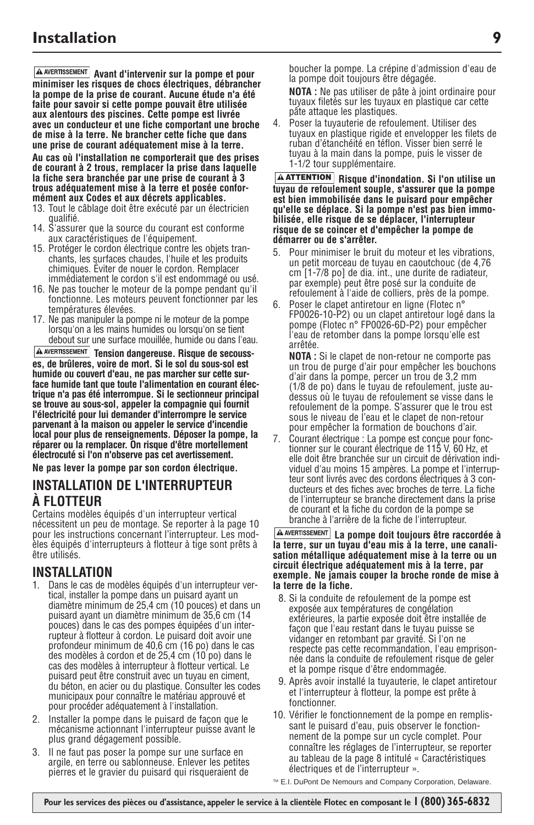**A AVERTISSEMENT** Avant d'intervenir sur la pompe et pour **minimiser les risques de chocs électriques, débrancher la pompe de la prise de courant. Aucune étude n'a été faite pour savoir si cette pompe pouvait être utilisée aux alentours des piscines. Cette pompe est livrée avec un conducteur et une fiche comportant une broche de mise à la terre. Ne brancher cette fiche que dans une prise de courant adéquatement mise à la terre.**

**Au cas où l'installation ne comporterait que des prises de courant à 2 trous, remplacer la prise dans laquelle la fiche sera branchée par une prise de courant à 3 trous adéquatement mise à la terre et posée conformément aux Codes et aux décrets applicables.**

- 13. Tout le câblage doit être exécuté par un électricien qualifié.
- 14. S'assurer que la source du courant est conforme aux caractéristiques de l'équipement.
- 15. Protéger le cordon électrique contre les objets tranchants, les surfaces chaudes, l'huile et les produits chimiques. Éviter de nouer le cordon. Remplacer immédiatement le cordon s'il est endommagé ou usé.
- 16. Ne pas toucher le moteur de la pompe pendant qu'il fonctionne. Les moteurs peuvent fonctionner par les températures élevées.
- 17. Ne pas manipuler la pompe ni le moteur de la pompe lorsqu'on a les mains humides ou lorsqu'on se tient debout sur une surface mouillée, humide ou dans l'eau.

**A AVERTISSEMENT** Tension dangereuse. Risque de secouss**es, de brûleres, voire de mort. Si le sol du sous-sol est humide ou couvert d'eau, ne pas marcher sur cette surface humide tant que toute l'alimentation en courant électrique n'a pas été interrompue. Si le sectionneur principal se trouve au sous-sol, appeler la compagnie qui fournit l'électricité pour lui demander d'interrompre le service parvenant à la maison ou appeler le service d'incendie local pour plus de renseignements. Déposer la pompe, la réparer ou la remplacer. On risque d'être mortellement électrocuté si l'on n'observe pas cet avertissement. Ne pas lever la pompe par son cordon électrique.**

### **INSTALLATION DE L'INTERRUPTEUR À FLOTTEUR**

Certains modèles équipés d'un interrupteur vertical nécessitent un peu de montage. Se reporter à la page 10 pour les instructions concernant l'interrupteur. Les modèles équipés d'interrupteurs à flotteur à tige sont prêts à être utilisés.

### **INSTALLATION**

- 1. Dans le cas de modèles équipés d'un interrupteur vertical, installer la pompe dans un puisard ayant un diamètre minimum de 25,4 cm (10 pouces) et dans un puisard ayant un diamètre minimum de 35,6 cm (14 pouces) dans le cas des pompes équipées d'un interrupteur à flotteur à cordon. Le puisard doit avoir une profondeur minimum de 40,6 cm (16 po) dans le cas des modèles à cordon et de 25,4 cm (10 po) dans le cas des modèles à interrupteur à flotteur vertical. Le puisard peut être construit avec un tuyau en ciment, du béton, en acier ou du plastique. Consulter les codes municipaux pour connaître le matériau approuvé et pour procéder adéquatement à l'installation.
- 2. Installer la pompe dans le puisard de façon que le mécanisme actionnant l'interrupteur puisse avant le plus grand dégagement possible.
- 3. Il ne faut pas poser la pompe sur une surface en argile, en terre ou sablonneuse. Enlever les petites pierres et le gravier du puisard qui risqueraient de

boucher la pompe. La crépine d'admission d'eau de la pompe doit toujours être dégagée.

**NOTA :** Ne pas utiliser de pâte à joint ordinaire pour tuyaux filetés sur les tuyaux en plastique car cette pâte attaque les plastiques.

4. Poser la tuyauterie de refoulement. Utiliser des tuyaux en plastique rigide et envelopper les filets de ruban d'étanchéité en téflon. Visser bien serré le tuyau à la main dans la pompe, puis le visser de 1-1/2 tour supplémentaire.

**Risque d'inondation. Si l'on utilise un ATTENTIONtuyau de refoulement souple, s'assurer que la pompe est bien immobilisée dans le puisard pour empêcher qu'elle se déplace. Si la pompe n'est pas bien immobilisée, elle risque de se déplacer, l'interrupteur risque de se coincer et d'empêcher la pompe de démarrer ou de s'arrêter.**

- Pour minimiser le bruit du moteur et les vibrations, un petit morceau de tuyau en caoutchouc (de 4,76 cm [1-7/8 po] de dia. int., une durite de radiateur, par exemple) peut être posé sur la conduite de refoulement à l'aide de colliers, près de la pompe.
- 6. Poser le clapet antiretour en ligne (Flotec n° FP0026-10-P2) ou un clapet antiretour logé dans la pompe (Flotec n° FP0026-6D-P2) pour empêcher l'eau de retomber dans la pompe lorsqu'elle est arrêtée.

**NOTA :** Si le clapet de non-retour ne comporte pas un trou de purge d'air pour empêcher les bouchons d'air dans la pompe, percer un trou de 3,2 mm (1/8 de po) dans le tuyau de refoulement, juste audessus où le tuyau de refoulement se visse dans le refoulement de la pompe. S'assurer que le trou est sous le niveau de l'eau et le clapet de non-retour pour empêcher la formation de bouchons d'air.

7. Courant électrique : La pompe est conçue pour fonctionner sur le courant électrique de 115 V, 60 Hz, et elle doit être branchée sur un circuit de dérivation individuel d'au moins 15 ampères. La pompe et l'interrupteur sont livrés avec des cordons électriques à 3 conducteurs et des fiches avec broches de terre. La fiche de l'interrupteur se branche directement dans la prise de courant et la fiche du cordon de la pompe se branche à l'arrière de la fiche de l'interrupteur.

**La pompe doit toujours être raccordée à la terre, sur un tuyau d'eau mis à la terre, une canalisation métallique adéquatement mise à la terre ou un circuit électrique adéquatement mis à la terre, par exemple. Ne jamais couper la broche ronde de mise à la terre de la fiche.**

- 8. Si la conduite de refoulement de la pompe est exposée aux températures de congélation extérieures, la partie exposée doit être installée de façon que l'eau restant dans le tuyau puisse se vidanger en retombant par gravité. Si l'on ne respecte pas cette recommandation, l'eau emprisonnée dans la conduite de refoulement risque de geler et la pompe risque d'être endommagée.
- 9. Après avoir installé la tuyauterie, le clapet antiretour et l'interrupteur à flotteur, la pompe est prête à fonctionner.
- 10. Vérifier le fonctionnement de la pompe en remplissant le puisard d'eau, puis observer le fonctionnement de la pompe sur un cycle complet. Pour connaître les réglages de l'interrupteur, se reporter au tableau de la page 8 intitulé « Caractéristiques électriques et de l'interrupteur ».

™ E.I. DuPont De Nemours and Company Corporation, Delaware.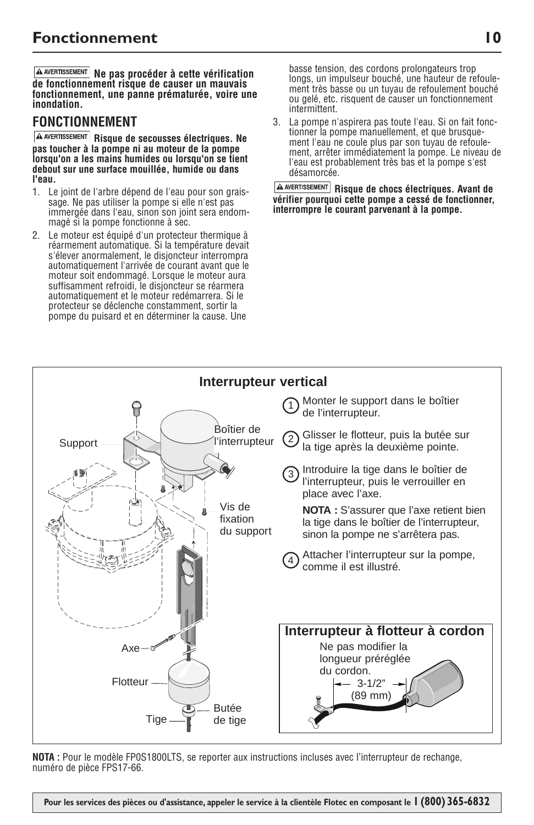**Ne pas procéder à cette vérification de fonctionnement risque de causer un mauvais fonctionnement, une panne prématurée, voire une inondation.**

### **FONCTIONNEMENT**

**A AVERTISSEMENT** Risque de secousses électriques. Ne **pas toucher à la pompe ni au moteur de la pompe lorsqu'on a les mains humides ou lorsqu'on se tient debout sur une surface mouillée, humide ou dans l'eau.**

- 1. Le joint de l'arbre dépend de l'eau pour son graissage. Ne pas utiliser la pompe si elle n'est pas immergée dans l'eau, sinon son joint sera endommagé si la pompe fonctionne à sec.
- 2. Le moteur est équipé d'un protecteur thermique à réarmement automatique. Si la température devait s'élever anormalement, le disjoncteur interrompra automatiquement l'arrivée de courant avant que le moteur soit endommagé. Lorsque le moteur aura suffisamment refroidi, le disjoncteur se réarmera automatiquement et le moteur redémarrera. Si le protecteur se déclenche constamment, sortir la pompe du puisard et en déterminer la cause. Une

basse tension, des cordons prolongateurs trop longs, un impulseur bouché, une hauteur de refoulement très basse ou un tuyau de refoulement bouché ou gelé, etc. risquent de causer un fonctionnement intermittent.

3. La pompe n'aspirera pas toute l'eau. Si on fait fonctionner la pompe manuellement, et que brusquement l'eau ne coule plus par son tuyau de refoulement, arrêter immédiatement la pompe. Le niveau de l'eau est probablement très bas et la pompe s'est désamorcée.

**Risque de chocs électriques. Avant de vérifier pourquoi cette pompe a cessé de fonctionner, interrompre le courant parvenant à la pompe.** 



**NOTA :** Pour le modèle FP0S1800LTS, se reporter aux instructions incluses avec l'interrupteur de rechange, numéro de pièce FPS17-66.

**Pour les services des pièces ou d'assistance, appeler le service à la clientèle Flotec en composant le 1 (800) 365-6832**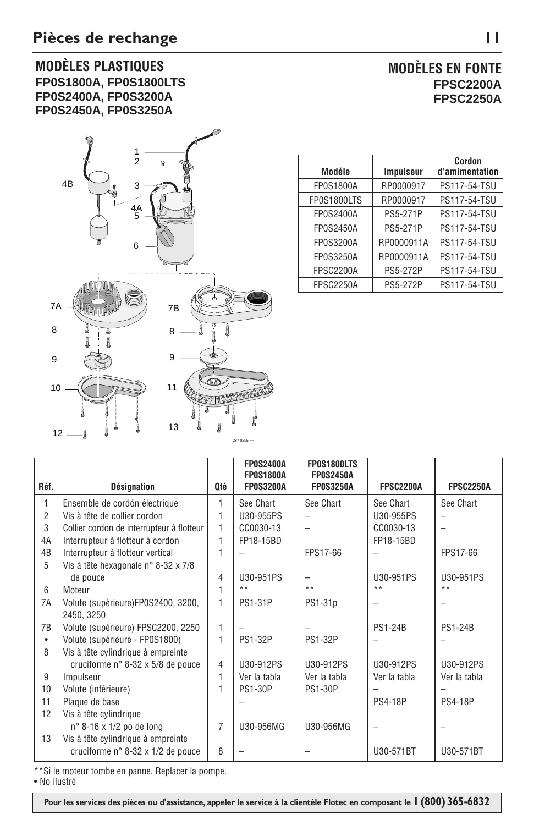### **MODÈLES PLASTIQUES FP0S1800A, FP0S1800LTS FP0S2400A, FP0S3200A FP0S2450A, FP0S3250A**



| <b>MODÈLES EN FONTE</b> |                  |  |
|-------------------------|------------------|--|
|                         | <b>FPSC2200A</b> |  |
|                         | <b>FPSC2250A</b> |  |

| Modéle           | <b>Impulseur</b> | Cordon<br>d'amimentation |
|------------------|------------------|--------------------------|
| <b>FP0S1800A</b> | RP0000917        | PS117-54-TSU             |
| FP0S1800LTS      | RP0000917        | <b>PS117-54-TSU</b>      |
| FP0S2400A        | PS5-271P         | PS117-54-TSU             |
| FP0S2450A        | PS5-271P         | <b>PS117-54-TSU</b>      |
| FP0S3200A        | RP0000911A       | PS117-54-TSU             |
| FP0S3250A        | RP0000911A       | PS117-54-TSU             |
| <b>FPSC2200A</b> | <b>PS5-272P</b>  | PS117-54-TSU             |
| <b>FPSC2250A</b> | <b>PS5-272P</b>  | PS117-54-TSU             |

|                 |                                           |                | <b>FP0S2400A</b><br><b>FP0S1800A</b> | FP0S1800LTS<br><b>FP0S2450A</b> |                  |                  |
|-----------------|-------------------------------------------|----------------|--------------------------------------|---------------------------------|------------------|------------------|
| Réf.            | <b>Désignation</b>                        | <b>Oté</b>     | <b>FP0S3200A</b>                     | <b>FP0S3250A</b>                | <b>FPSC2200A</b> | <b>FPSC2250A</b> |
| 1               | Ensemble de cordón électrique             | 1              | See Chart                            | See Chart                       | See Chart        | See Chart        |
| $\overline{2}$  | Vis à tête de collier cordon              | 1              | U30-955PS                            |                                 | U30-955PS        |                  |
| 3               | Collier cordon de interrupteur à flotteur | 1              | CC0030-13                            |                                 | CC0030-13        |                  |
| 4A              | Interrupteur à flotteur à cordon          | 1              | FP18-15BD                            |                                 | FP18-15BD        |                  |
| 4B              | Interrupteur à flotteur vertical          | 1              |                                      | FPS17-66                        |                  | FPS17-66         |
| 5               | Vis à tête hexagonale n° 8-32 x 7/8       |                |                                      |                                 |                  |                  |
|                 | de pouce                                  | 4              | U30-951PS                            |                                 | U30-951PS        | U30-951PS        |
| $6\overline{6}$ | Moteur                                    | 1              | $* *$                                | $+ +$                           | $\star\star$     | $+ +$            |
| 7A              | Volute (supérieure)FP0S2400, 3200,        | 1              | <b>PS1-31P</b>                       | PS1-31p                         |                  |                  |
|                 | 2450, 3250                                |                |                                      |                                 |                  |                  |
| 7B              | Volute (supérieure) FPSC2200, 2250        | 1              |                                      |                                 | <b>PS1-24B</b>   | <b>PS1-24B</b>   |
| ٠               | Volute (supérieure - FP0S1800)            | 1              | <b>PS1-32P</b>                       | <b>PS1-32P</b>                  |                  |                  |
| 8               | Vis à tête cylindrique à empreinte        |                |                                      |                                 |                  |                  |
|                 | cruciforme n° 8-32 x 5/8 de pouce         | $\overline{4}$ | U30-912PS                            | U30-912PS                       | U30-912PS        | U30-912PS        |
| 9               | Impulseur                                 | 1              | Ver la tabla                         | Ver la tabla                    | Ver la tabla     | Ver la tabla     |
| 10              | Volute (inférieure)                       | 1              | <b>PS1-30P</b>                       | <b>PS1-30P</b>                  |                  |                  |
| 11              | Plaque de base                            |                |                                      |                                 | <b>PS4-18P</b>   | <b>PS4-18P</b>   |
| 12              | Vis à tête cylindrique                    |                |                                      |                                 |                  |                  |
|                 | $n^{\circ}$ 8-16 x 1/2 po de long         | $\overline{7}$ | U30-956MG                            | U30-956MG                       |                  |                  |
| 13              | Vis à tête cylindrique à empreinte        |                |                                      |                                 |                  |                  |
|                 | cruciforme n° 8-32 x 1/2 de pouce         | 8              |                                      |                                 | U30-571BT        | U30-571BT        |
|                 |                                           |                |                                      |                                 |                  |                  |

\*\*Si le moteur tombe en panne. Replacer la pompe.

• No ilustré

 **Pour les services des pièces ou d'assistance, appeler le service à la clientèle Flotec en composant le 1 (800) 365-6832**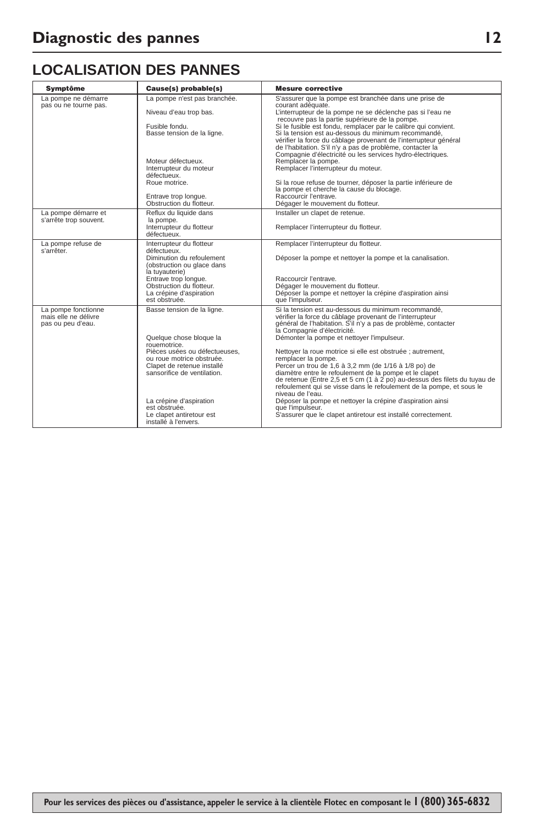## **LOCALISATION DES PANNES**

| <b>Symptôme</b>                                                  | Cause(s) probable(s)                                                                                                                                                                                                                                                                             | <b>Mesure corrective</b>                                                                                                                                                                                                                                                                                                                                                                                                                                                                                                                                                                                                                                                                                                                                                                          |
|------------------------------------------------------------------|--------------------------------------------------------------------------------------------------------------------------------------------------------------------------------------------------------------------------------------------------------------------------------------------------|---------------------------------------------------------------------------------------------------------------------------------------------------------------------------------------------------------------------------------------------------------------------------------------------------------------------------------------------------------------------------------------------------------------------------------------------------------------------------------------------------------------------------------------------------------------------------------------------------------------------------------------------------------------------------------------------------------------------------------------------------------------------------------------------------|
| La pompe ne démarre<br>pas ou ne tourne pas.                     | La pompe n'est pas branchée.<br>Niveau d'eau trop bas.<br>Fusible fondu.<br>Basse tension de la ligne.<br>Moteur défectueux.<br>Interrupteur du moteur<br>défectueux.<br>Roue motrice.<br>Entrave trop longue.<br>Obstruction du flotteur.                                                       | S'assurer que la pompe est branchée dans une prise de<br>courant adéquate.<br>L'interrupteur de la pompe ne se déclenche pas si l'eau ne<br>recouvre pas la partie supérieure de la pompe.<br>Si le fusible est fondu, remplacer par le calibre qui convient.<br>Si la tension est au-dessous du minimum recommandé,<br>vérifier la force du câblage provenant de l'interrupteur général<br>de l'habitation. S'il n'y a pas de problème, contacter la<br>Compagnie d'électricité ou les services hydro-électriques.<br>Remplacer la pompe.<br>Remplacer l'interrupteur du moteur.<br>Si la roue refuse de tourner, déposer la partie inférieure de<br>la pompe et cherche la cause du blocage.<br>Raccourcir l'entrave.<br>Dégager le mouvement du flotteur.                                      |
| La pompe démarre et<br>s'arrête trop souvent.                    | Reflux du liquide dans<br>la pompe.<br>Interrupteur du flotteur<br>défectueux.                                                                                                                                                                                                                   | Installer un clapet de retenue.<br>Remplacer l'interrupteur du flotteur.                                                                                                                                                                                                                                                                                                                                                                                                                                                                                                                                                                                                                                                                                                                          |
| La pompe refuse de<br>s'arrêter.                                 | Interrupteur du flotteur<br>défectueux.<br>Diminution du refoulement<br>(obstruction ou glace dans<br>la tuyauterie)<br>Entrave trop longue.<br>Obstruction du flotteur.<br>La crépine d'aspiration<br>est obstruée.                                                                             | Remplacer l'interrupteur du flotteur.<br>Déposer la pompe et nettoyer la pompe et la canalisation.<br>Raccourcir l'entrave.<br>Dégager le mouvement du flotteur.<br>Déposer la pompe et nettoyer la crépine d'aspiration ainsi<br>que l'impulseur.                                                                                                                                                                                                                                                                                                                                                                                                                                                                                                                                                |
| La pompe fonctionne<br>mais elle ne délivre<br>pas ou peu d'eau. | Basse tension de la ligne.<br>Quelque chose bloque la<br>rouemotrice.<br>Pièces usées ou défectueuses.<br>ou roue motrice obstruée.<br>Clapet de retenue installé<br>sansorifice de ventilation.<br>La crépine d'aspiration<br>est obstruée.<br>Le clapet antiretour est<br>installé à l'envers. | Si la tension est au-dessous du minimum recommandé.<br>vérifier la force du câblage provenant de l'interrupteur<br>général de l'habitation. S'il n'y a pas de problème, contacter<br>la Compagnie d'électricité.<br>Démonter la pompe et nettoyer l'impulseur.<br>Nettoyer la roue motrice si elle est obstruée ; autrement,<br>remplacer la pompe.<br>Percer un trou de 1,6 à 3,2 mm (de 1/16 à 1/8 po) de<br>diamètre entre le refoulement de la pompe et le clapet<br>de retenue (Entre 2,5 et 5 cm (1 à 2 po) au-dessus des filets du tuyau de<br>refoulement qui se visse dans le refoulement de la pompe, et sous le<br>niveau de l'eau.<br>Déposer la pompe et nettoyer la crépine d'aspiration ainsi<br>que l'impulseur.<br>S'assurer que le clapet antiretour est installé correctement. |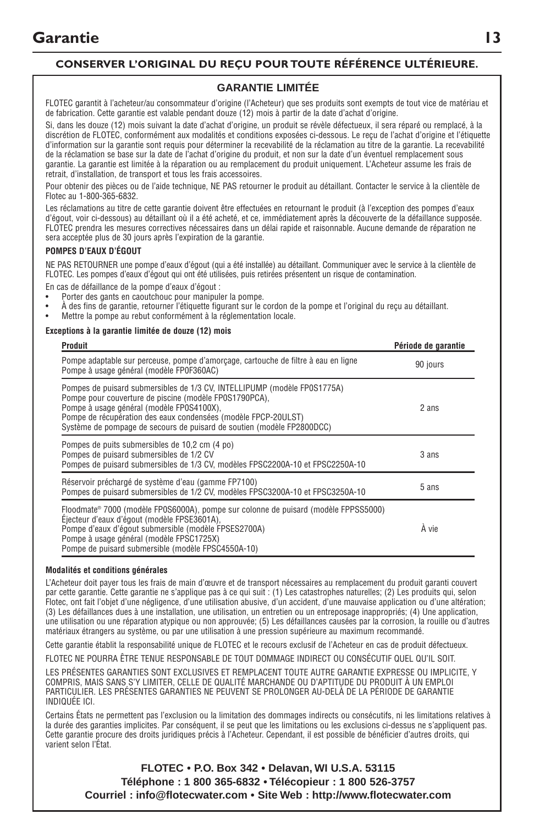### **CONSERVER L'ORIGINAL DU REÇU POUR TOUTE RÉFÉRENCE ULTÉRIEURE.**

#### **GARANTIE LIMITÉE**

FLOTEC garantit à l'acheteur/au consommateur d'origine (l'Acheteur) que ses produits sont exempts de tout vice de matériau et de fabrication. Cette garantie est valable pendant douze (12) mois à partir de la date d'achat d'origine.

Si, dans les douze (12) mois suivant la date d'achat d'origine, un produit se révèle défectueux, il sera réparé ou remplacé, à la discrétion de FLOTEC, conformément aux modalités et conditions exposées ci-dessous. Le reçu de l'achat d'origine et l'étiquette d'information sur la garantie sont requis pour déterminer la recevabilité de la réclamation au titre de la garantie. La recevabilité de la réclamation se base sur la date de l'achat d'origine du produit, et non sur la date d'un éventuel remplacement sous garantie. La garantie est limitée à la réparation ou au remplacement du produit uniquement. L'Acheteur assume les frais de retrait, d'installation, de transport et tous les frais accessoires.

Pour obtenir des pièces ou de l'aide technique, NE PAS retourner le produit au détaillant. Contacter le service à la clientèle de Flotec au 1-800-365-6832.

Les réclamations au titre de cette garantie doivent être effectuées en retournant le produit (à l'exception des pompes d'eaux d'égout, voir ci-dessous) au détaillant où il a été acheté, et ce, immédiatement après la découverte de la défaillance supposée. FLOTEC prendra les mesures correctives nécessaires dans un délai rapide et raisonnable. Aucune demande de réparation ne sera acceptée plus de 30 jours après l'expiration de la garantie.

#### **POMPES D'EAUX D'ÉGOUT**

NE PAS RETOURNER une pompe d'eaux d'égout (qui a été installée) au détaillant. Communiquer avec le service à la clientèle de FLOTEC. Les pompes d'eaux d'égout qui ont été utilisées, puis retirées présentent un risque de contamination.

En cas de défaillance de la pompe d'eaux d'égout :

- Porter des gants en caoutchouc pour manipuler la pompe.
- À des fins de garantie, retourner l'étiquette figurant sur le cordon de la pompe et l'original du reçu au détaillant.
- Mettre la pompe au rebut conformément à la réglementation locale.

#### **Exceptions à la garantie limitée de douze (12) mois**

| Produit                                                                                                                                                                                                                                                                                                                     | Période de garantie |
|-----------------------------------------------------------------------------------------------------------------------------------------------------------------------------------------------------------------------------------------------------------------------------------------------------------------------------|---------------------|
| Pompe adaptable sur perceuse, pompe d'amorçage, cartouche de filtre à eau en ligne<br>Pompe à usage général (modèle FP0F360AC)                                                                                                                                                                                              | 90 jours            |
| Pompes de puisard submersibles de 1/3 CV, INTELLIPUMP (modèle FP0S1775A)<br>Pompe pour couverture de piscine (modèle FP0S1790PCA),<br>Pompe à usage général (modèle FP0S4100X),<br>Pompe de récupération des eaux condensées (modèle FPCP-20ULST)<br>Système de pompage de secours de puisard de soutien (modèle FP2800DCC) | 2 ans               |
| Pompes de puits submersibles de 10,2 cm (4 po)<br>Pompes de puisard submersibles de 1/2 CV<br>Pompes de puisard submersibles de 1/3 CV, modèles FPSC2200A-10 et FPSC2250A-10                                                                                                                                                | 3 ans               |
| Réservoir préchargé de système d'eau (gamme FP7100)<br>Pompes de puisard submersibles de 1/2 CV, modèles FPSC3200A-10 et FPSC3250A-10                                                                                                                                                                                       | 5 ans               |
| Floodmate® 7000 (modèle FP0S6000A), pompe sur colonne de puisard (modèle FPPSS5000)<br>Éiecteur d'eaux d'égout (modèle FPSE3601A).<br>Pompe d'eaux d'égout submersible (modèle FPSES2700A)<br>Pompe à usage général (modèle FPSC1725X)<br>Pompe de puisard submersible (modèle FPSC4550A-10)                                | À vie               |

#### **Modalités et conditions générales**

L'Acheteur doit payer tous les frais de main d'œuvre et de transport nécessaires au remplacement du produit garanti couvert par cette garantie. Cette garantie ne s'applique pas à ce qui suit : (1) Les catastrophes naturelles; (2) Les produits qui, selon Flotec, ont fait l'objet d'une négligence, d'une utilisation abusive, d'un accident, d'une mauvaise application ou d'une altération; (3) Les défaillances dues à une installation, une utilisation, un entretien ou un entreposage inappropriés; (4) Une application, une utilisation ou une réparation atypique ou non approuvée; (5) Les défaillances causées par la corrosion, la rouille ou d'autres matériaux étrangers au système, ou par une utilisation à une pression supérieure au maximum recommandé.

Cette garantie établit la responsabilité unique de FLOTEC et le recours exclusif de l'Acheteur en cas de produit défectueux.

FLOTEC NE POURRA ÊTRE TENUE RESPONSABLE DE TOUT DOMMAGE INDIRECT OU CONSÉCUTIF QUEL QU'IL SOIT.

LES PRÉSENTES GARANTIES SONT EXCLUSIVES ET REMPLACENT TOUTE AUTRE GARANTIE EXPRESSE OU IMPLICITE, Y COMPRIS, MAIS SANS S'Y LIMITER, CELLE DE QUALITÉ MARCHANDE OU D'APTITUDE DU PRODUIT À UN EMPLOI PARTICULIER. LES PRÉSENTES GARANTIES NE PEUVENT SE PROLONGER AU-DELÀ DE LA PÉRIODE DE GARANTIE INDIQUÉE ICI.

Certains États ne permettent pas l'exclusion ou la limitation des dommages indirects ou consécutifs, ni les limitations relatives à la durée des garanties implicites. Par conséquent, il se peut que les limitations ou les exclusions ci-dessus ne s'appliquent pas. Cette garantie procure des droits juridiques précis à l'Acheteur. Cependant, il est possible de bénéficier d'autres droits, qui varient selon l'État.

**FLOTEC • P.O. Box 342 • Delavan, WI U.S.A. 53115 Téléphone : 1 800 365-6832 • Télécopieur : 1 800 526-3757 Courriel : info@flotecwater.com • Site Web : http://www.flotecwater.com**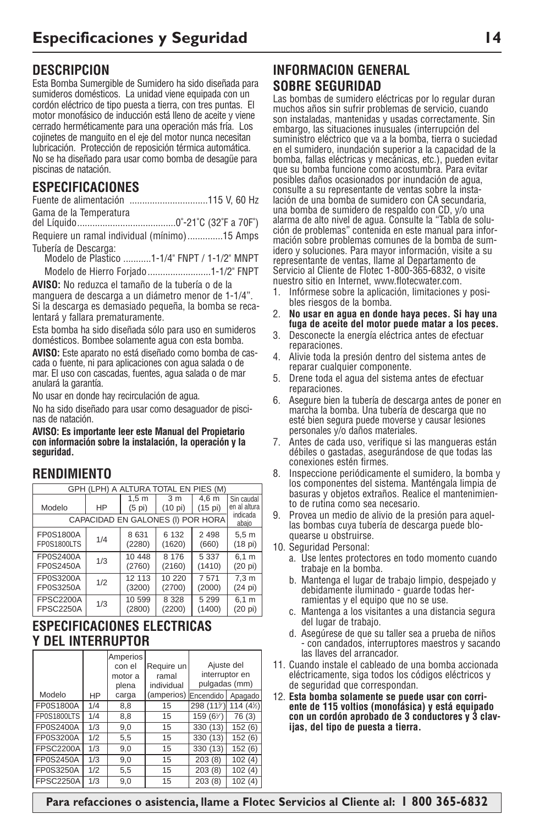## **DESCRIPCION**

Esta Bomba Sumergible de Sumidero ha sido diseñada para sumideros domésticos. La unidad viene equipada con un cordón eléctrico de tipo puesta a tierra, con tres puntas. El motor monofásico de inducción está lleno de aceite y viene cerrado herméticamente para una operación más fría. Los cojinetes de manguito en el eje del motor nunca necesitan lubricación. Protección de reposición térmica automática. No se ha diseñado para usar como bomba de desagüe para piscinas de natación.

### **ESPECIFICACIONES**

| Gama de la Temperatura |  |
|------------------------|--|
|                        |  |

Requiere un ramal individual (mínimo)..............15 Amps Tubería de Descarga:

Modelo de Plastico ...........1-1/4" FNPT / 1-1/2" MNPT Modelo de Hierro Forjado.........................1-1/2" FNPT

**AVISO:** No reduzca el tamaño de la tubería o de la manguera de descarga a un diámetro menor de 1-1/4". Si la descarga es demasiado pequeña, la bomba se recalentará y fallara prematuramente.

Esta bomba ha sido diseñada sólo para uso en sumideros domésticos. Bombee solamente agua con esta bomba.

**AVISO:** Este aparato no está diseñado como bomba de cascada o fuente, ni para aplicaciones con agua salada o de mar. El uso con cascadas, fuentes, agua salada o de mar anulará la garantía.

No usar en donde hay recirculación de agua.

No ha sido diseñado para usar como desaguador de piscinas de natación.

**AVISO: Es importante leer este Manual del Propietario con información sobre la instalación, la operación y la seguridad.**

### **RENDIMIENTO**

| GPH (LPH) A ALTURA TOTAL EN PIES (M) |     |                    |                                   |         |                   |
|--------------------------------------|-----|--------------------|-----------------------------------|---------|-------------------|
|                                      |     | $\overline{1,5}$ m | 3 <sub>m</sub>                    | 4.6 m   | Sin caudal        |
| Modelo                               | HP  | $(5 \text{pi})$    | (10 pi)                           | (15 pi) | en al altura      |
|                                      |     |                    | CAPACIDAD EN GALONES (I) POR HORA |         | indicada<br>abajo |
| FP0S1800A                            | 1/4 | 8 6 3 1            | 6 132                             | 2 4 9 8 | 5.5 <sub>m</sub>  |
| FP0S1800LTS                          |     | (2280)             | (1620)                            | (660)   | (18 pi)           |
| FP0S2400A                            | 1/3 | 10 448             | 8 176                             | 5 3 3 7 | 6.1 m             |
| FP0S2450A                            |     | (2760)             | (2160)                            | (1410)  | $(20 \text{ pi})$ |
| FP0S3200A                            | 1/2 | 12 113             | 10 220                            | 7571    | 7.3 <sub>m</sub>  |
| FP0S3250A                            |     | (3200)             | (2700)                            | (2000)  | (24 pi)           |
| <b>FPSC2200A</b>                     | 1/3 | 10 599             | 8 3 2 8                           | 5 2 9 9 | 6.1 m             |
| <b>FPSC2250A</b>                     |     | (2800)             | (2200)                            | (1400)  | (20 pi)           |

### **ESPECIFICACIONES ELECTRICAS Y DEL INTERRUPTOR**

|                  |     | Amperios<br>con el | Require un | Ajuste del     |          |
|------------------|-----|--------------------|------------|----------------|----------|
|                  |     | motor a            | ramal      | interruptor en |          |
|                  |     | plena              | individual | pulgadas (mm)  |          |
| Modelo           | HP  | carga              | (amperios) | Encendido      | Apagado  |
| FP0S1800A        | 1/4 | 8.8                | 15         | 298 (11%)      | 114 (4½) |
| FP0S1800LTS      | 1/4 | 8.8                | 15         | 159 (6%)       | 76 (3)   |
| FP0S2400A        | 1/3 | 9.0                | 15         | 330 (13)       | 152(6)   |
| FP0S3200A        | 1/2 | 5.5                | 15         | 330 (13)       | 152(6)   |
| <b>FPSC2200A</b> | 1/3 | 9.0                | 15         | 330 (13)       | 152(6)   |
| FP0S2450A        | 1/3 | 9.0                | 15         | 203(8)         | 102(4)   |
| FP0S3250A        | 1/2 | 5,5                | 15         | 203(8)         | 102(4)   |
| <b>FPSC2250A</b> | 1/3 | 9,0                | 15         | 203(8)         | 102(4)   |

## **INFORMACION GENERAL SOBRE SEGURIDAD**

Las bombas de sumidero eléctricas por lo regular duran muchos años sin sufrir problemas de servicio, cuando son instaladas, mantenidas y usadas correctamente. Sin embargo, las situaciones inusuales (interrupción del suministro eléctrico que va a la bomba, tierra o suciedad en el sumidero, inundación superior a la capacidad de la bomba, fallas eléctricas y mecánicas, etc.), pueden evitar que su bomba funcione como acostumbra. Para evitar posibles daños ocasionados por inundación de agua, consulte a su representante de ventas sobre la instalación de una bomba de sumidero con CA secundaria, una bomba de sumidero de respaldo con CD, y/o una alarma de alto nivel de agua. Consulte la "Tabla de solución de problemas" contenida en este manual para infor-mación sobre problemas comunes de la bomba de sumidero y soluciones. Para mayor información, visite a su representante de ventas, llame al Departamento de Servicio al Cliente de Flotec 1-800-365-6832, o visite nuestro sitio en Internet, www.flotecwater.com.

- 1. Infórmese sobre la aplicación, limitaciones y posibles riesgos de la bomba.
- 2. **No usar en agua en donde haya peces. Si hay una fuga de aceite del motor puede matar a los peces.**
- 3. Desconecte la energía eléctrica antes de efectuar reparaciones.
- 4. Alivie toda la presión dentro del sistema antes de reparar cualquier componente.
- 5. Drene toda el agua del sistema antes de efectuar reparaciones.
- 6. Asegure bien la tubería de descarga antes de poner en marcha la bomba. Una tubería de descarga que no esté bien segura puede moverse y causar lesiones personales y/o daños materiales.
- 7. Antes de cada uso, verifique si las mangueras están débiles o gastadas, asegurándose de que todas las conexiones estén firmes.
- 8. Inspeccione periódicamente el sumidero, la bomba y los componentes del sistema. Manténgala limpia de basuras y objetos extraños. Realice el mantenimiento de rutina como sea necesario.
- 9. Provea un medio de alivio de la presión para aquellas bombas cuya tubería de descarga puede bloquearse u obstruirse.
- 10. Seguridad Personal:
	- a. Use lentes protectores en todo momento cuando trabaje en la bomba.
	- b. Mantenga el lugar de trabajo limpio, despejado y debidamente iluminado - guarde todas herramientas y el equipo que no se use.
	- c. Mantenga a los visitantes a una distancia segura del lugar de trabajo.
	- d. Asegúrese de que su taller sea a prueba de niños - con candados, interruptores maestros y sacando las llaves del arrancador.
- 11. Cuando instale el cableado de una bomba accionada eléctricamente, siga todos los códigos eléctricos y de seguridad que correspondan.
- 12. **Esta bomba solamente se puede usar con corriente de 115 voltios (monofásica) y está equipado con un cordón aprobado de 3 conductores y 3 clavijas, del tipo de puesta a tierra.**

 **Para refacciones o asistencia, llame a Flotec Servicios al Cliente al: 1 800 365-6832**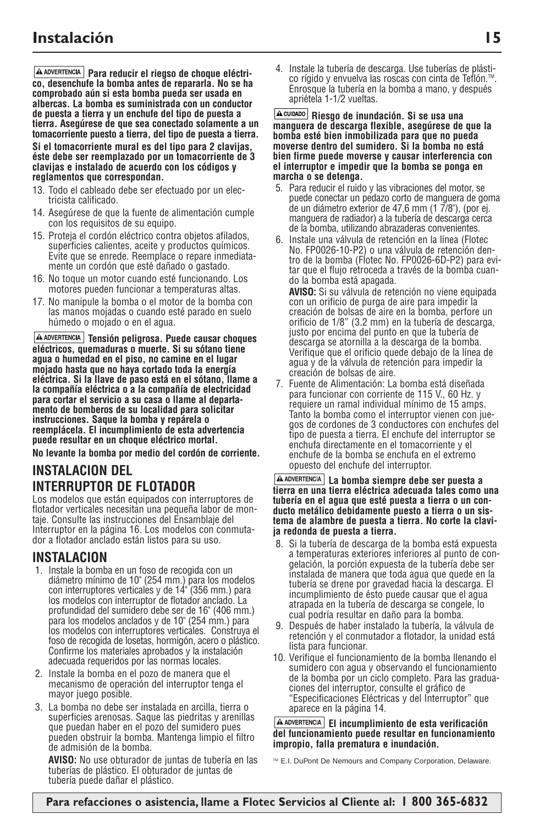**A ADVERTENCIA** Para reducir el riegso de choque eléctri**co, desenchufe la bomba antes de repararla. No se ha comprobado aún si esta bomba pueda ser usada en albercas. La bomba es suministrada con un conductor de puesta a tierra y un enchufe del tipo de puesta a tierra. Asegúrese de que sea conectado solamente a un tomacorriente puesto a tierra, del tipo de puesta a tierra.**

**Si el tomacorriente mural es del tipo para 2 clavijas, éste debe ser reemplazado por un tomacorriente de 3 clavijas e instalado de acuerdo con los códigos y reglamentos que correspondan.**

- 13. Todo el cableado debe ser efectuado por un electricista calificado.
- 14. Asegúrese de que la fuente de alimentación cumple con los requisitos de su equipo.
- 15. Proteja el cordón eléctrico contra objetos afilados, superficies calientes, aceite y productos químicos. Evite que se enrede. Reemplace o repare inmediatamente un cordón que esté dañado o gastado.
- 16. No toque un motor cuando esté funcionando. Los motores pueden funcionar a temperaturas altas.
- 17. No manipule la bomba o el motor de la bomba con las manos mojadas o cuando esté parado en suelo húmedo o mojado o en el agua.

**A ADVERTENCIA** Tensión peligrosa. Puede causar choques **eléctricos, quemaduras o muerte. Si su sótano tiene agua o humedad en el piso, no camine en el lugar mojado hasta que no haya cortado toda la energía eléctrica. Si la llave de paso está en el sótano, llame a la compañía eléctrica o a la compañía de electricidad para cortar el servicio a su casa o llame al departamento de bomberos de su localidad para solicitar instrucciones. Saque la bomba y repárela o reemplácela. El incumplimiento de esta advertencia puede resultar en un choque eléctrico mortal.**

**No levante la bomba por medio del cordón de corriente.**

## **INSTALACION DEL INTERRUPTOR DE FLOTADOR**

Los modelos que están equipados con interruptores de flotador verticales necesitan una pequeña labor de montaje. Consulte las instrucciones del Ensamblaje del Interruptor en la página 16. Los modelos con conmutador a flotador anclado están listos para su uso.

### **INSTALACION**

- 1. Instale la bomba en un foso de recogida con un diámetro mínimo de 10" (254 mm.) para los modelos con interruptores verticales y de 14" (356 mm.) para los modelos con interruptor de flotador anclado. La profundidad del sumidero debe ser de 16" (406 mm.) para los modelos anclados y de 10" (254 mm.) para los modelos con interruptores verticales. Construya el foso de recogida de losetas, hormigón, acero o plástico. Confirme los materiales aprobados y la instalación adecuada requeridos por las normas locales.
- 2. Instale la bomba en el pozo de manera que el mecanismo de operación del interruptor tenga el mayor juego posible.
- 3. La bomba no debe ser instalada en arcilla, tierra o superficies arenosas. Saque las piedritas y arenillas que puedan haber en el pozo del sumidero pues pueden obstruir la bomba. Mantenga limpio el filtro de admisión de la bomba.

**AVISO:** No use obturador de juntas de tubería en las tuberías de plástico. El obturador de juntas de tubería puede dañar el plástico.

4. Instale la tubería de descarga. Use tuberías de plásti-Enrosque la tubería en la bomba a mano, y después apriétela 1-1/2 vueltas.

**Riesgo de inundación. Si se usa una manguera de descarga flexible, asegúrese de que la bomba esté bien inmobilizada para que no pueda moverse dentro del sumidero. Si la bomba no está bien firme puede moverse y causar interferencia con el interruptor e impedir que la bomba se ponga en marcha o se detenga.**

- 5. Para reducir el ruido y las vibraciones del motor, se puede conectar un pedazo corto de manguera de goma de un diámetro exterior de 47,6 mm (1 7/8"), (por ej. manguera de radiador) a la tubería de descarga cerca de la bomba, utilizando abrazaderas convenientes.
- 6. Instale una válvula de retención en la línea (Flotec No. FP0026-10-P2) o una válvula de retención dentro de la bomba (Flotec No. FP0026-6D-P2) para evitar que el flujo retroceda a través de la bomba cuando la bomba está apagada.

**AVISO:** Si su válvula de retención no viene equipada con un orificio de purga de aire para impedir la creación de bolsas de aire en la bomba, perfore un orificio de 1/8" (3.2 mm) en la tubería de descarga, justo por encima del punto en que la tubería de descarga se atornilla a la descarga de la bomba. Verifique que el orificio quede debajo de la línea de agua y de la válvula de retención para impedir la creación de bolsas de aire.

7. Fuente de Alimentación: La bomba está diseñada para funcionar con corriente de 115 V., 60 Hz. y requiere un ramal individual mínimo de 15 amps. Tanto la bomba como el interruptor vienen con juegos de cordones de 3 conductores con enchufes del tipo de puesta a tierra. El enchufe del interruptor se enchufa directamente en el tomacorriente y el enchufe de la bomba se enchufa en el extremo opuesto del enchufe del interruptor.

#### **La bomba siempre debe ser puesta a tierra en una tierra eléctrica adecuada tales como una tubería en el agua que esté puesta a tierra o un conducto metálico debidamente puesto a tierra o un sistema de alambre de puesta a tierra. No corte la clavija redonda de puesta a tierra.**

- 8. Si la tubería de descarga de la bomba está expuesta a temperaturas exteriores inferiores al punto de congelación, la porción expuesta de la tubería debe ser instalada de manera que toda agua que quede en la tubería se drene por gravedad hacia la descarga. El incumplimiento de ésto puede causar que el agua atrapada en la tubería de descarga se congele, lo cual podría resultar en daño para la bomba.
- 9. Después de haber instalado la tubería, la válvula de retención y el conmutador a flotador, la unidad está lista para funcionar.
- 10. Verifique el funcionamiento de la bomba llenando el sumidero con agua y observando el funcionamiento de la bomba por un ciclo completo. Para las graduaciones del interruptor, consulte el gráfico de "Especificaciones Eléctricas y del Interruptor" que aparece en la página 14.

#### **El incumplimiento de esta verificación del funcionamiento puede resultar en funcionamiento impropio, falla prematura e inundación.**

™ E.I. DuPont De Nemours and Company Corporation, Delaware.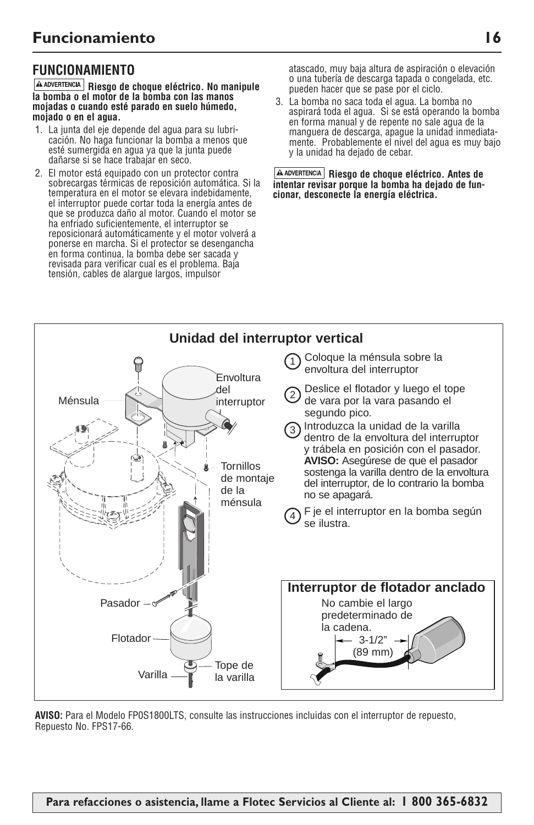## **FUNCIONAMIENTO**

**Riesgo de choque eléctrico. No manipule la bomba o el motor de la bomba con las manos mojadas o cuando esté parado en suelo húmedo, mojado o en el agua.**

- 1. La junta del eje depende del agua para su lubricación. No haga funcionar la bomba a menos que esté sumergida en agua ya que la junta puede dañarse si se hace trabajar en seco.
- 2. El motor está equipado con un protector contra sobrecargas térmicas de reposición automática. Si la temperatura en el motor se elevara indebidamente, el interruptor puede cortar toda la energía antes de que se produzca daño al motor. Cuando el motor se ha enfriado suficientemente, el interruptor se reposicionará automáticamente y el motor volverá a ponerse en marcha. Si el protector se desengancha en forma continua, la bomba debe ser sacada y revisada para verificar cual es el problema. Baja tensión, cables de alargue largos, impulsor

atascado, muy baja altura de aspiración o elevación o una tubería de descarga tapada o congelada, etc. pueden hacer que se pase por el ciclo.

3. La bomba no saca toda el agua. La bomba no aspirará toda el agua. Si se está operando la bomba en forma manual y de repente no sale agua de la manguera de descarga, apague la unidad inmediatamente. Probablemente el nivel del agua es muy bajo y la unidad ha dejado de cebar.

**Riesgo de choque eléctrico. Antes de intentar revisar porque la bomba ha dejado de funcionar, desconecte la energía eléctrica.** 



**AVISO:** Para el Modelo FP0S1800LTS, consulte las instrucciones incluidas con el interruptor de repuesto, Repuesto No. FPS17-66.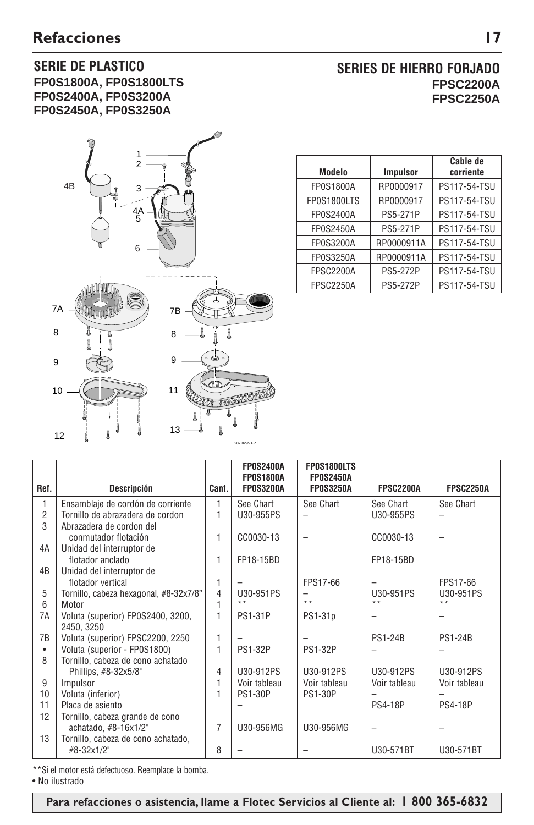### **SERIE DE PLASTICO FP0S1800A, FP0S1800LTS FP0S2400A, FP0S3200A FP0S2450A, FP0S3250A**



## **SERIES DE HIERRO FORJADO FPSC2200A FPSC2250A**

| Modelo           | <b>Impulsor</b> | Cable de<br>corriente |
|------------------|-----------------|-----------------------|
| <b>FP0S1800A</b> | RP0000917       | PS117-54-TSU          |
| FP0S1800LTS      | RP0000917       | PS117-54-TSU          |
| <b>FP0S2400A</b> | PS5-271P        | PS117-54-TSU          |
| FP0S2450A        | PS5-271P        | PS117-54-TSU          |
| FP0S3200A        | RP0000911A      | PS117-54-TSU          |
| FP0S3250A        | RP0000911A      | PS117-54-TSU          |
| <b>FPSC2200A</b> | <b>PS5-272P</b> | PS117-54-TSU          |
| <b>FPSC2250A</b> | <b>PS5-272P</b> | PS117-54-TSU          |

|                |                                        |                | <b>FP0S2400A</b> | FP0S1800LTS              |                  |                  |
|----------------|----------------------------------------|----------------|------------------|--------------------------|------------------|------------------|
|                |                                        |                | <b>FP0S1800A</b> | <b>FP0S2450A</b>         |                  |                  |
| Ref.           | Descripción                            | Cant.          | <b>FP0S3200A</b> | <b>FP0S3250A</b>         | <b>FPSC2200A</b> | <b>FPSC2250A</b> |
| 1              | Ensamblaje de cordón de corriente      | 1              | See Chart        | See Chart                | See Chart        | See Chart        |
| $\overline{2}$ | Tornillo de abrazadera de cordon       | 1              | U30-955PS        | $\overline{\phantom{0}}$ | U30-955PS        |                  |
| 3              | Abrazadera de cordon del               |                |                  |                          |                  |                  |
|                | conmutador flotación                   | 1              | CC0030-13        |                          | CC0030-13        |                  |
| 4A             | Unidad del interruptor de              |                |                  |                          |                  |                  |
|                | flotador anclado                       | 1              | FP18-15BD        |                          | FP18-15BD        |                  |
| 4B             | Unidad del interruptor de              |                |                  |                          |                  |                  |
|                | flotador vertical                      | 1              |                  | FPS17-66                 |                  | FPS17-66         |
| 5              | Tornillo, cabeza hexagonal, #8-32x7/8" | 4              | U30-951PS        |                          | U30-951PS        | U30-951PS        |
| 6              | Motor                                  | 1              | $* *$            | $* *$                    | $* *$            | $* *$            |
| 7A             | Voluta (superior) FP0S2400, 3200,      | 1              | <b>PS1-31P</b>   | PS1-31p                  |                  |                  |
|                | 2450, 3250                             |                |                  |                          |                  |                  |
| 7B             | Voluta (superior) FPSC2200, 2250       | 1              |                  |                          | <b>PS1-24B</b>   | <b>PS1-24B</b>   |
| $\bullet$      | Voluta (superior - FP0S1800)           | 1              | <b>PS1-32P</b>   | <b>PS1-32P</b>           |                  |                  |
| 8              | Tornillo, cabeza de cono achatado      |                |                  |                          |                  |                  |
|                | Phillips, #8-32x5/8"                   | 4              | U30-912PS        | U30-912PS                | U30-912PS        | U30-912PS        |
| 9              | Impulsor                               | 1              | Voir tableau     | Voir tableau             | Voir tableau     | Voir tableau     |
| 10             | Voluta (inferior)                      | 1              | <b>PS1-30P</b>   | <b>PS1-30P</b>           |                  |                  |
| 11             | Placa de asiento                       |                |                  |                          | <b>PS4-18P</b>   | <b>PS4-18P</b>   |
| 12             | Tornillo, cabeza grande de cono        |                |                  |                          |                  |                  |
|                | achatado, #8-16x1/2"                   | $\overline{7}$ | U30-956MG        | U30-956MG                |                  |                  |
| 13             | Tornillo, cabeza de cono achatado,     |                |                  |                          |                  |                  |
|                | #8-32x1/2"                             | 8              |                  |                          | U30-571BT        | U30-571BT        |
|                |                                        |                |                  |                          |                  |                  |

\*\*Si el motor está defectuoso. Reemplace la bomba.

• No ilustrado

 **Para refacciones o asistencia, llame a Flotec Servicios al Cliente al: 1 800 365-6832**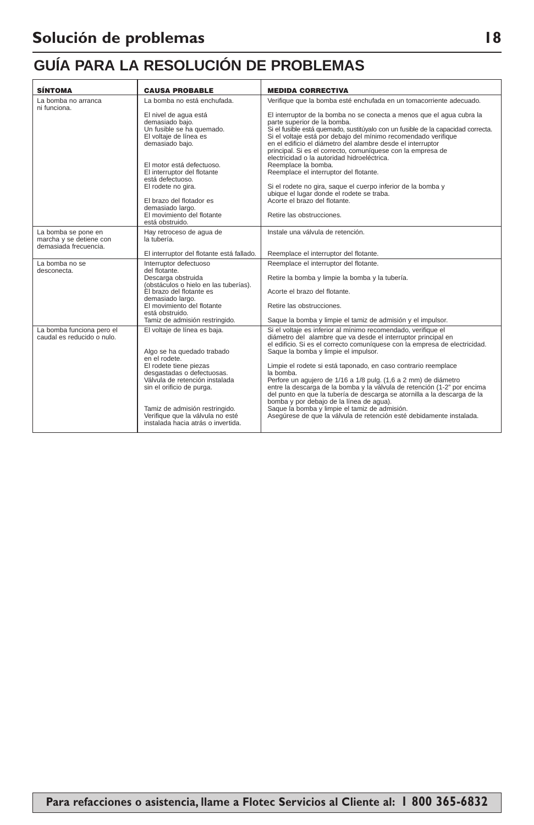# **GUÍA PARA LA RESOLUCIÓN DE PROBLEMAS**

| SÍNTOMA                                                                 | <b>CAUSA PROBABLE</b>                                                                                               | <b>MEDIDA CORRECTIVA</b>                                                                                                                                                                                                                                                                                                                                                                                                                |
|-------------------------------------------------------------------------|---------------------------------------------------------------------------------------------------------------------|-----------------------------------------------------------------------------------------------------------------------------------------------------------------------------------------------------------------------------------------------------------------------------------------------------------------------------------------------------------------------------------------------------------------------------------------|
| La bomba no arranca<br>ni funciona.                                     | La bomba no está enchufada.                                                                                         | Verifique que la bomba esté enchufada en un tomacorriente adecuado.                                                                                                                                                                                                                                                                                                                                                                     |
|                                                                         | El nivel de agua está<br>demasiado baio.<br>Un fusible se ha quemado.<br>El voltaje de línea es<br>demasiado bajo.  | El interruptor de la bomba no se conecta a menos que el agua cubra la<br>parte superior de la bomba.<br>Si el fusible está quemado, sustitúyalo con un fusible de la capacidad correcta.<br>Si el voltaje está por debajo del mínimo recomendado verifique<br>en el edificio el diámetro del alambre desde el interruptor<br>principal. Si es el correcto, comuníquese con la empresa de<br>electricidad o la autoridad hidroeléctrica. |
|                                                                         | El motor está defectuoso.<br>El interruptor del flotante<br>está defectuoso.                                        | Reemplace la bomba.<br>Reemplace el interruptor del flotante.                                                                                                                                                                                                                                                                                                                                                                           |
|                                                                         | El rodete no gira.<br>El brazo del flotador es                                                                      | Si el rodete no gira, saque el cuerpo inferior de la bomba y<br>ubique el lugar donde el rodete se traba.<br>Acorte el brazo del flotante.                                                                                                                                                                                                                                                                                              |
|                                                                         | demasiado largo.<br>El movimiento del flotante<br>está obstruido.                                                   | Retire las obstrucciones.                                                                                                                                                                                                                                                                                                                                                                                                               |
| La bomba se pone en<br>marcha y se detiene con<br>demasiada frecuencia. | Hay retroceso de agua de<br>la tubería.                                                                             | Instale una válvula de retención.                                                                                                                                                                                                                                                                                                                                                                                                       |
|                                                                         | El interruptor del flotante está fallado.                                                                           | Reemplace el interruptor del flotante.                                                                                                                                                                                                                                                                                                                                                                                                  |
| La bomba no se<br>desconecta.                                           | Interruptor defectuoso<br>del flotante.<br>Descarga obstruida                                                       | Reemplace el interruptor del flotante.<br>Retire la bomba y limpie la bomba y la tubería.                                                                                                                                                                                                                                                                                                                                               |
|                                                                         | (obstáculos o hielo en las tuberías).<br>El brazo del flotante es<br>demasiado largo.                               | Acorte el brazo del flotante.                                                                                                                                                                                                                                                                                                                                                                                                           |
|                                                                         | El movimiento del flotante<br>está obstruido.                                                                       | Retire las obstrucciones.                                                                                                                                                                                                                                                                                                                                                                                                               |
|                                                                         | Tamiz de admisión restringido.                                                                                      | Saque la bomba y limpie el tamiz de admisión y el impulsor.                                                                                                                                                                                                                                                                                                                                                                             |
| La bomba funciona pero el<br>caudal es reducido o nulo.                 | El voltaje de línea es baja.<br>Algo se ha quedado trabado<br>en el rodete.                                         | Si el voltaje es inferior al mínimo recomendado, verifique el<br>diámetro del alambre que va desde el interruptor principal en<br>el edificio. Si es el correcto comuníquese con la empresa de electricidad.<br>Saque la bomba y limpie el impulsor.                                                                                                                                                                                    |
|                                                                         | El rodete tiene piezas<br>desgastadas o defectuosas.<br>Válvula de retención instalada<br>sin el orificio de purga. | Limpie el rodete si está taponado, en caso contrario reemplace<br>la bomba.<br>Perfore un agujero de 1/16 a 1/8 pulg. (1,6 a 2 mm) de diámetro<br>entre la descarga de la bomba y la válvula de retención (1-2" por encima<br>del punto en que la tubería de descarga se atornilla a la descarga de la<br>bomba y por debajo de la línea de aqua).                                                                                      |
|                                                                         | Tamiz de admisión restringido.<br>Verifique que la válvula no esté<br>instalada hacia atrás o invertida.            | Saque la bomba y limpie el tamiz de admisión.<br>Asegúrese de que la válvula de retención esté debidamente instalada.                                                                                                                                                                                                                                                                                                                   |